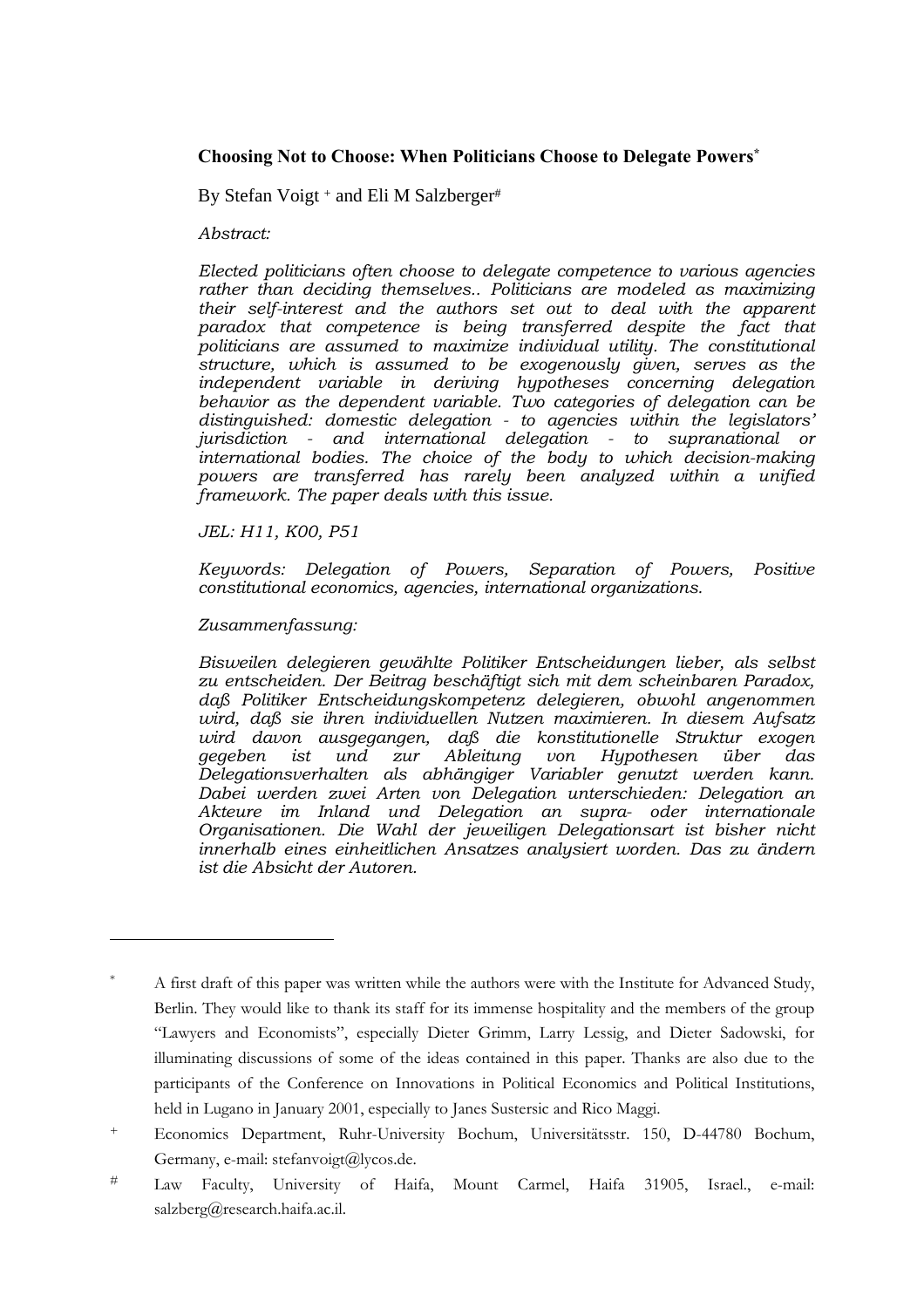## **Choosing Not to Choose: When Politicians Choose to Delegate Powers[\\*](#page-0-0)**

By Stefan Voigt [+](#page-0-1) and Eli M Salzberger<sup>#</sup>

#### *Abstract:*

*Elected politicians often choose to delegate competence to various agencies rather than deciding themselves.. Politicians are modeled as maximizing their self-interest and the authors set out to deal with the apparent paradox that competence is being transferred despite the fact that politicians are assumed to maximize individual utility. The constitutional structure, which is assumed to be exogenously given, serves as the independent variable in deriving hypotheses concerning delegation behavior as the dependent variable. Two categories of delegation can be distinguished: domestic delegation - to agencies within the legislators' jurisdiction - and international delegation - to supranational or international bodies. The choice of the body to which decision-making powers are transferred has rarely been analyzed within a unified framework. The paper deals with this issue.* 

#### *JEL: H11, K00, P51*

*Keywords: Delegation of Powers, Separation of Powers, Positive constitutional economics, agencies, international organizations.* 

#### *Zusammenfassung:*

<u>.</u>

*Bisweilen delegieren gewählte Politiker Entscheidungen lieber, als selbst zu entscheiden. Der Beitrag beschäftigt sich mit dem scheinbaren Paradox, daß Politiker Entscheidungskompetenz delegieren, obwohl angenommen wird, daß sie ihren individuellen Nutzen maximieren. In diesem Aufsatz wird davon ausgegangen, daß die konstitutionelle Struktur exogen gegeben ist und zur Ableitung von Hypothesen über das Delegationsverhalten als abhängiger Variabler genutzt werden kann. Dabei werden zwei Arten von Delegation unterschieden: Delegation an Akteure im Inland und Delegation an supra- oder internationale Organisationen. Die Wahl der jeweiligen Delegationsart ist bisher nicht innerhalb eines einheitlichen Ansatzes analysiert worden. Das zu ändern ist die Absicht der Autoren.* 

<span id="page-0-0"></span>A first draft of this paper was written while the authors were with the Institute for Advanced Study, Berlin. They would like to thank its staff for its immense hospitality and the members of the group "Lawyers and Economists", especially Dieter Grimm, Larry Lessig, and Dieter Sadowski, for illuminating discussions of some of the ideas contained in this paper. Thanks are also due to the participants of the Conference on Innovations in Political Economics and Political Institutions, held in Lugano in January 2001, especially to Janes Sustersic and Rico Maggi.

<span id="page-0-1"></span><sup>+</sup> Economics Department, Ruhr-University Bochum, Universitätsstr. 150, D-44780 Bochum, Germany, e-mail: stefanvoigt@lycos.de.

<span id="page-0-2"></span><sup>#</sup> Law Faculty, University of Haifa, Mount Carmel, Haifa 31905, Israel., e-mail: salzberg@research.haifa.ac.il.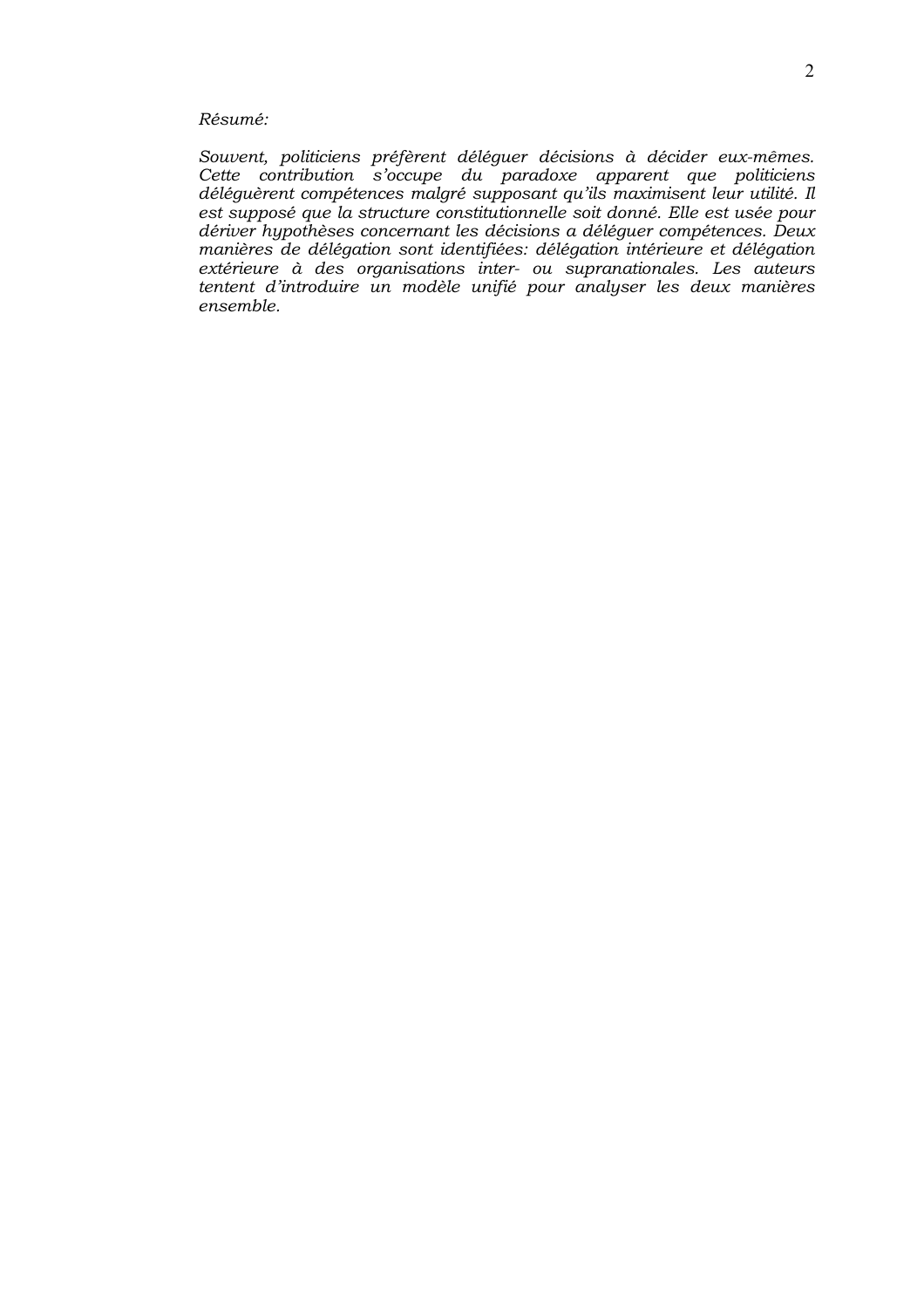#### *Résumé:*

*Souvent, politiciens préfèrent déléguer décisions à décider eux-mêmes. Cette contribution s'occupe du paradoxe apparent que politiciens déléguèrent compétences malgré supposant qu'ils maximisent leur utilité. Il est supposé que la structure constitutionnelle soit donné. Elle est usée pour dériver hypothèses concernant les décisions a déléguer compétences. Deux manières de délégation sont identifiées: délégation intérieure et délégation extérieure à des organisations inter- ou supranationales. Les auteurs tentent d'introduire un modèle unifié pour analyser les deux manières ensemble.*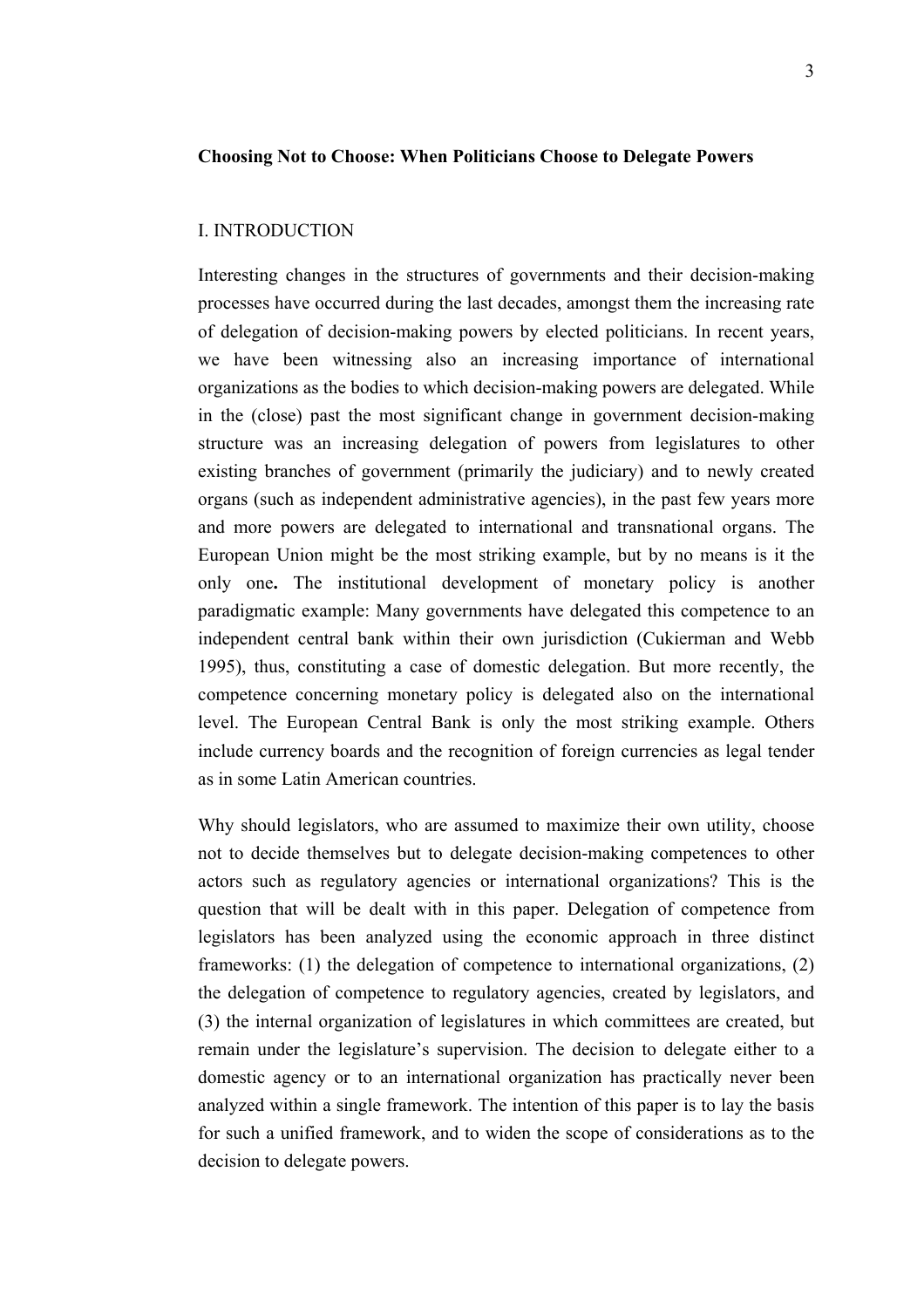#### **Choosing Not to Choose: When Politicians Choose to Delegate Powers**

#### I. INTRODUCTION

Interesting changes in the structures of governments and their decision-making processes have occurred during the last decades, amongst them the increasing rate of delegation of decision-making powers by elected politicians. In recent years, we have been witnessing also an increasing importance of international organizations as the bodies to which decision-making powers are delegated. While in the (close) past the most significant change in government decision-making structure was an increasing delegation of powers from legislatures to other existing branches of government (primarily the judiciary) and to newly created organs (such as independent administrative agencies), in the past few years more and more powers are delegated to international and transnational organs. The European Union might be the most striking example, but by no means is it the only one**.** The institutional development of monetary policy is another paradigmatic example: Many governments have delegated this competence to an independent central bank within their own jurisdiction (Cukierman and Webb 1995), thus, constituting a case of domestic delegation. But more recently, the competence concerning monetary policy is delegated also on the international level. The European Central Bank is only the most striking example. Others include currency boards and the recognition of foreign currencies as legal tender as in some Latin American countries.

Why should legislators, who are assumed to maximize their own utility, choose not to decide themselves but to delegate decision-making competences to other actors such as regulatory agencies or international organizations? This is the question that will be dealt with in this paper. Delegation of competence from legislators has been analyzed using the economic approach in three distinct frameworks: (1) the delegation of competence to international organizations, (2) the delegation of competence to regulatory agencies, created by legislators, and (3) the internal organization of legislatures in which committees are created, but remain under the legislature's supervision. The decision to delegate either to a domestic agency or to an international organization has practically never been analyzed within a single framework. The intention of this paper is to lay the basis for such a unified framework, and to widen the scope of considerations as to the decision to delegate powers.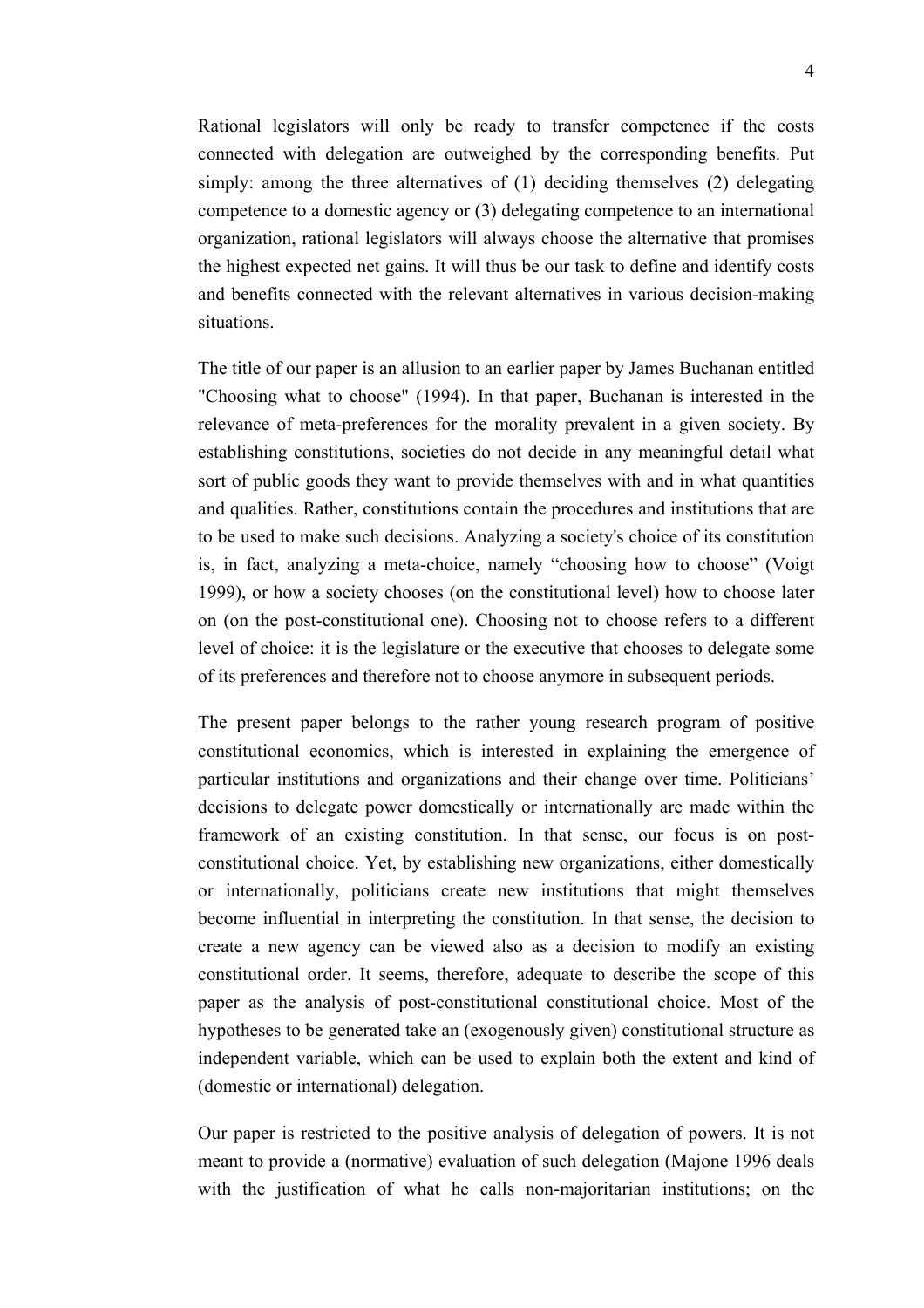Rational legislators will only be ready to transfer competence if the costs connected with delegation are outweighed by the corresponding benefits. Put simply: among the three alternatives of (1) deciding themselves (2) delegating competence to a domestic agency or (3) delegating competence to an international organization, rational legislators will always choose the alternative that promises the highest expected net gains. It will thus be our task to define and identify costs and benefits connected with the relevant alternatives in various decision-making situations.

The title of our paper is an allusion to an earlier paper by James Buchanan entitled "Choosing what to choose" (1994). In that paper, Buchanan is interested in the relevance of meta-preferences for the morality prevalent in a given society. By establishing constitutions, societies do not decide in any meaningful detail what sort of public goods they want to provide themselves with and in what quantities and qualities. Rather, constitutions contain the procedures and institutions that are to be used to make such decisions. Analyzing a society's choice of its constitution is, in fact, analyzing a meta-choice, namely "choosing how to choose" (Voigt 1999), or how a society chooses (on the constitutional level) how to choose later on (on the post-constitutional one). Choosing not to choose refers to a different level of choice: it is the legislature or the executive that chooses to delegate some of its preferences and therefore not to choose anymore in subsequent periods.

The present paper belongs to the rather young research program of positive constitutional economics, which is interested in explaining the emergence of particular institutions and organizations and their change over time. Politicians' decisions to delegate power domestically or internationally are made within the framework of an existing constitution. In that sense, our focus is on postconstitutional choice. Yet, by establishing new organizations, either domestically or internationally, politicians create new institutions that might themselves become influential in interpreting the constitution. In that sense, the decision to create a new agency can be viewed also as a decision to modify an existing constitutional order. It seems, therefore, adequate to describe the scope of this paper as the analysis of post-constitutional constitutional choice. Most of the hypotheses to be generated take an (exogenously given) constitutional structure as independent variable, which can be used to explain both the extent and kind of (domestic or international) delegation.

Our paper is restricted to the positive analysis of delegation of powers. It is not meant to provide a (normative) evaluation of such delegation (Majone 1996 deals with the justification of what he calls non-majoritarian institutions; on the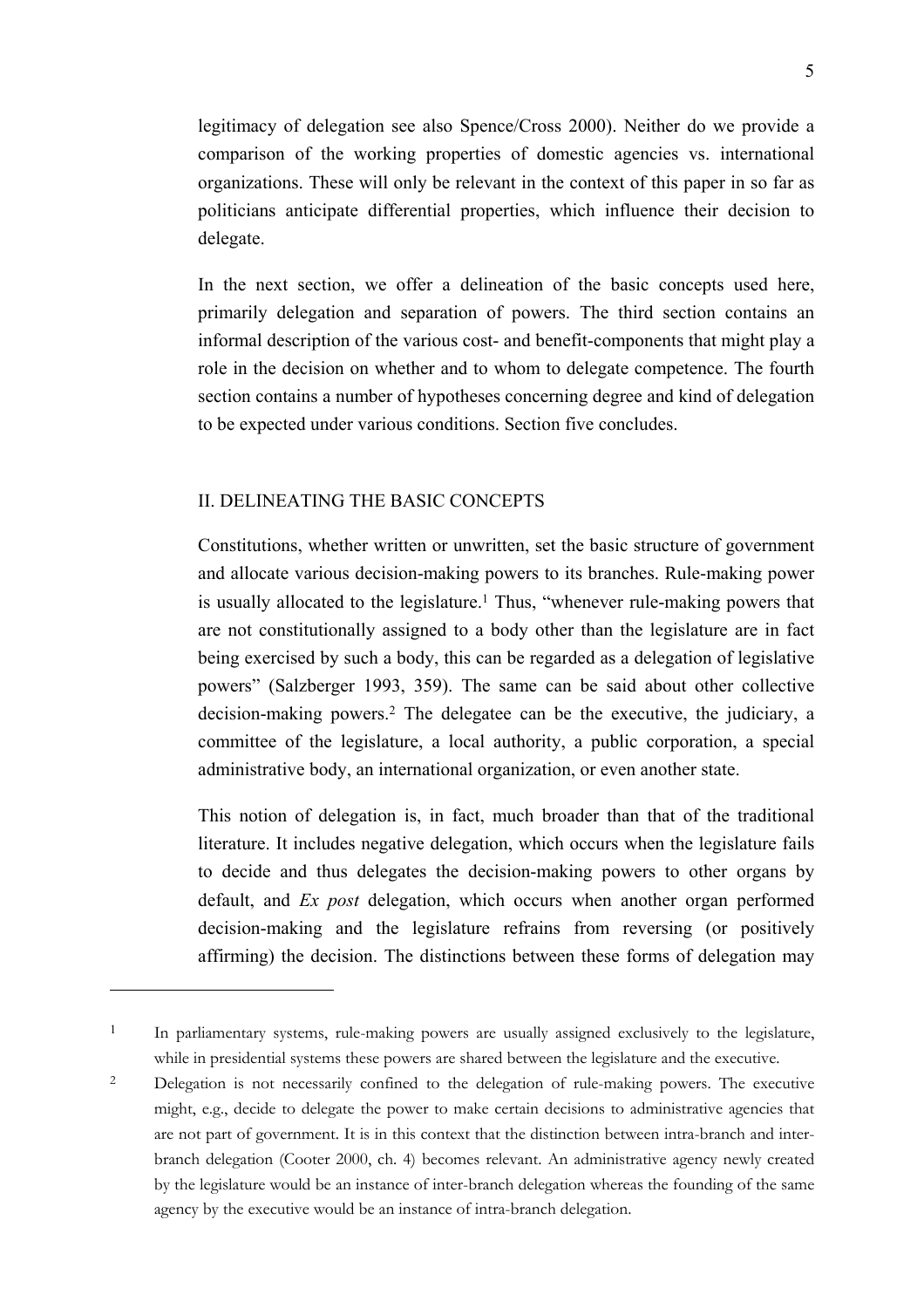legitimacy of delegation see also Spence/Cross 2000). Neither do we provide a comparison of the working properties of domestic agencies vs. international organizations. These will only be relevant in the context of this paper in so far as politicians anticipate differential properties, which influence their decision to delegate.

In the next section, we offer a delineation of the basic concepts used here, primarily delegation and separation of powers. The third section contains an informal description of the various cost- and benefit-components that might play a role in the decision on whether and to whom to delegate competence. The fourth section contains a number of hypotheses concerning degree and kind of delegation to be expected under various conditions. Section five concludes.

### II. DELINEATING THE BASIC CONCEPTS

1

Constitutions, whether written or unwritten, set the basic structure of government and allocate various decision-making powers to its branches. Rule-making power is usually allocated to the legislature.<sup>1</sup> Thus, "whenever rule-making powers that are not constitutionally assigned to a body other than the legislature are in fact being exercised by such a body, this can be regarded as a delegation of legislative powers" (Salzberger 1993, 359). The same can be said about other collective decision-making powers.[2](#page-4-1) The delegatee can be the executive, the judiciary, a committee of the legislature, a local authority, a public corporation, a special administrative body, an international organization, or even another state.

This notion of delegation is, in fact, much broader than that of the traditional literature. It includes negative delegation, which occurs when the legislature fails to decide and thus delegates the decision-making powers to other organs by default, and *Ex post* delegation, which occurs when another organ performed decision-making and the legislature refrains from reversing (or positively affirming) the decision. The distinctions between these forms of delegation may

<span id="page-4-0"></span><sup>&</sup>lt;sup>1</sup> In parliamentary systems, rule-making powers are usually assigned exclusively to the legislature, while in presidential systems these powers are shared between the legislature and the executive.

<span id="page-4-1"></span><sup>&</sup>lt;sup>2</sup> Delegation is not necessarily confined to the delegation of rule-making powers. The executive might, e.g., decide to delegate the power to make certain decisions to administrative agencies that are not part of government. It is in this context that the distinction between intra-branch and interbranch delegation (Cooter 2000, ch. 4) becomes relevant. An administrative agency newly created by the legislature would be an instance of inter-branch delegation whereas the founding of the same agency by the executive would be an instance of intra-branch delegation.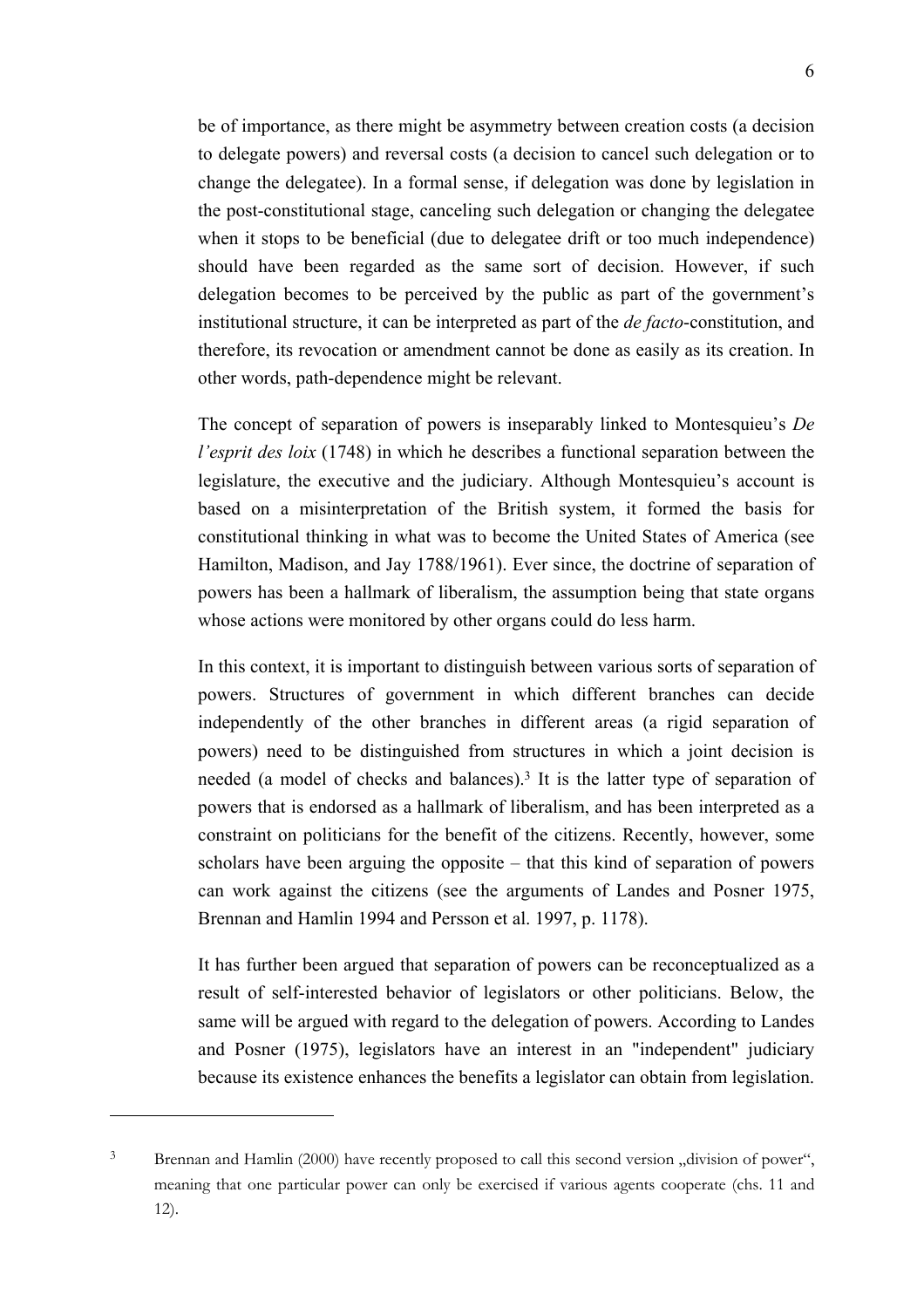be of importance, as there might be asymmetry between creation costs (a decision to delegate powers) and reversal costs (a decision to cancel such delegation or to change the delegatee). In a formal sense, if delegation was done by legislation in the post-constitutional stage, canceling such delegation or changing the delegatee when it stops to be beneficial (due to delegate drift or too much independence) should have been regarded as the same sort of decision. However, if such delegation becomes to be perceived by the public as part of the government's institutional structure, it can be interpreted as part of the *de facto*-constitution, and therefore, its revocation or amendment cannot be done as easily as its creation. In other words, path-dependence might be relevant.

The concept of separation of powers is inseparably linked to Montesquieu's *De l'esprit des loix* (1748) in which he describes a functional separation between the legislature, the executive and the judiciary. Although Montesquieu's account is based on a misinterpretation of the British system, it formed the basis for constitutional thinking in what was to become the United States of America (see Hamilton, Madison, and Jay 1788/1961). Ever since, the doctrine of separation of powers has been a hallmark of liberalism, the assumption being that state organs whose actions were monitored by other organs could do less harm.

In this context, it is important to distinguish between various sorts of separation of powers. Structures of government in which different branches can decide independently of the other branches in different areas (a rigid separation of powers) need to be distinguished from structures in which a joint decision is needed (a model of checks and balances).[3](#page-5-0) It is the latter type of separation of powers that is endorsed as a hallmark of liberalism, and has been interpreted as a constraint on politicians for the benefit of the citizens. Recently, however, some scholars have been arguing the opposite – that this kind of separation of powers can work against the citizens (see the arguments of Landes and Posner 1975, Brennan and Hamlin 1994 and Persson et al. 1997, p. 1178).

It has further been argued that separation of powers can be reconceptualized as a result of self-interested behavior of legislators or other politicians. Below, the same will be argued with regard to the delegation of powers. According to Landes and Posner (1975), legislators have an interest in an "independent" judiciary because its existence enhances the benefits a legislator can obtain from legislation.

<span id="page-5-0"></span><sup>&</sup>lt;sup>3</sup> Brennan and Hamlin (2000) have recently proposed to call this second version "division of power", meaning that one particular power can only be exercised if various agents cooperate (chs. 11 and 12).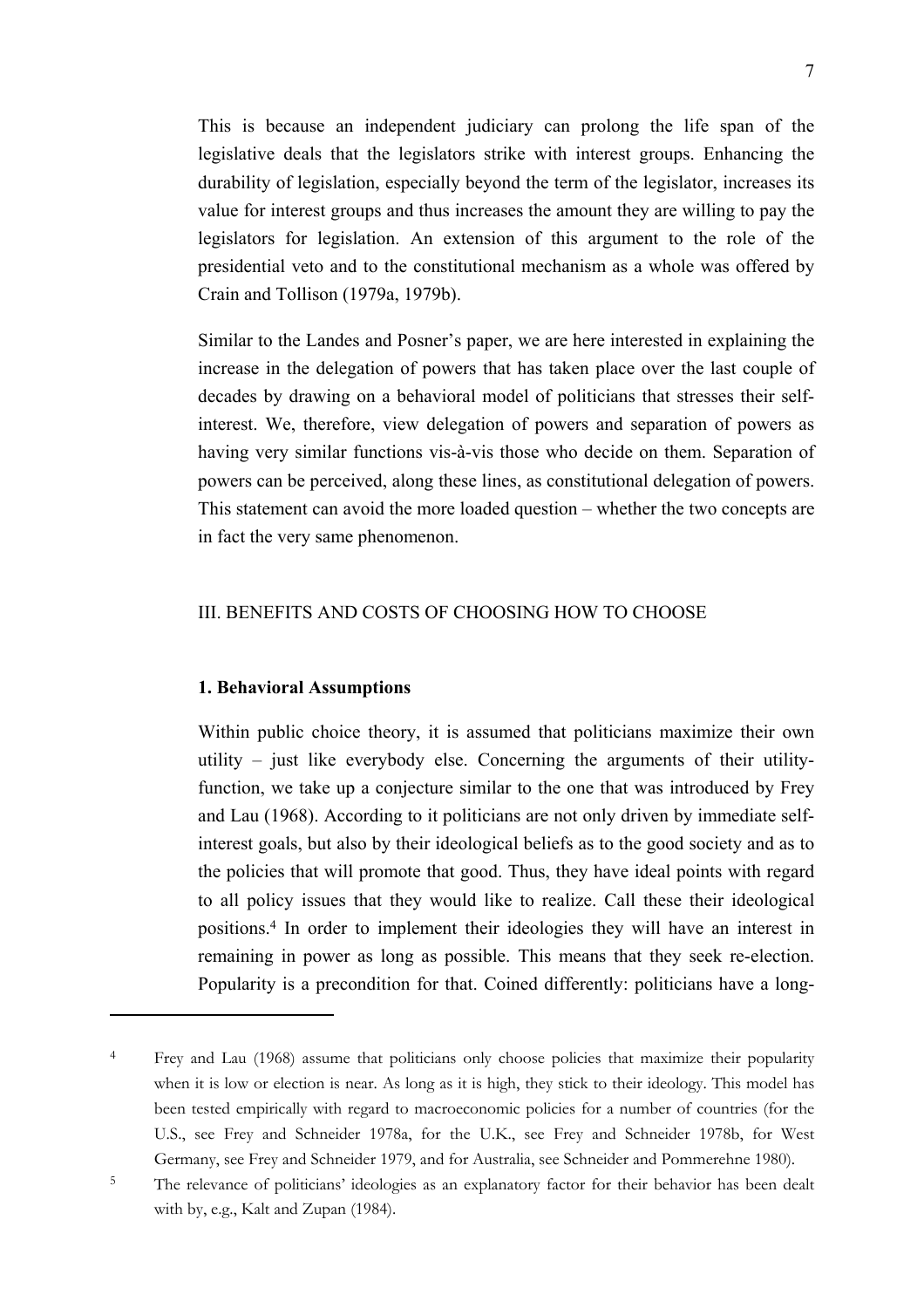This is because an independent judiciary can prolong the life span of the legislative deals that the legislators strike with interest groups. Enhancing the durability of legislation, especially beyond the term of the legislator, increases its value for interest groups and thus increases the amount they are willing to pay the legislators for legislation. An extension of this argument to the role of the presidential veto and to the constitutional mechanism as a whole was offered by Crain and Tollison (1979a, 1979b).

Similar to the Landes and Posner's paper, we are here interested in explaining the increase in the delegation of powers that has taken place over the last couple of decades by drawing on a behavioral model of politicians that stresses their selfinterest. We, therefore, view delegation of powers and separation of powers as having very similar functions vis-à-vis those who decide on them. Separation of powers can be perceived, along these lines, as constitutional delegation of powers. This statement can avoid the more loaded question – whether the two concepts are in fact the very same phenomenon.

### III. BENEFITS AND COSTS OF CHOOSING HOW TO CHOOSE

### **1. Behavioral Assumptions**

1

Within public choice theory, it is assumed that politicians maximize their own utility – just like everybody else. Concerning the arguments of their utilityfunction, we take up a conjecture similar to the one that was introduced by Frey and Lau (1968). According to it politicians are not only driven by immediate selfinterest goals, but also by their ideological beliefs as to the good society and as to the policies that will promote that good. Thus, they have ideal points with regard to all policy issues that they would like to realize. Call these their ideological positions[.4](#page-6-0) In order to implement their ideologies they will have an interest in remaining in power as long as possible. This means that they seek re-election. Popularity is a precondition for that. Coined differently: politicians have a long-

<span id="page-6-0"></span><sup>&</sup>lt;sup>4</sup> Frey and Lau (1968) assume that politicians only choose policies that maximize their popularity when it is low or election is near. As long as it is high, they stick to their ideology. This model has been tested empirically with regard to macroeconomic policies for a number of countries (for the U.S., see Frey and Schneider 1978a, for the U.K., see Frey and Schneider 1978b, for West Germany, see Frey and Schneider 1979, and for Australia, see Schneider and Pommerehne 1980).

<sup>5</sup> The relevance of politicians' ideologies as an explanatory factor for their behavior has been dealt with by, e.g., Kalt and Zupan (1984).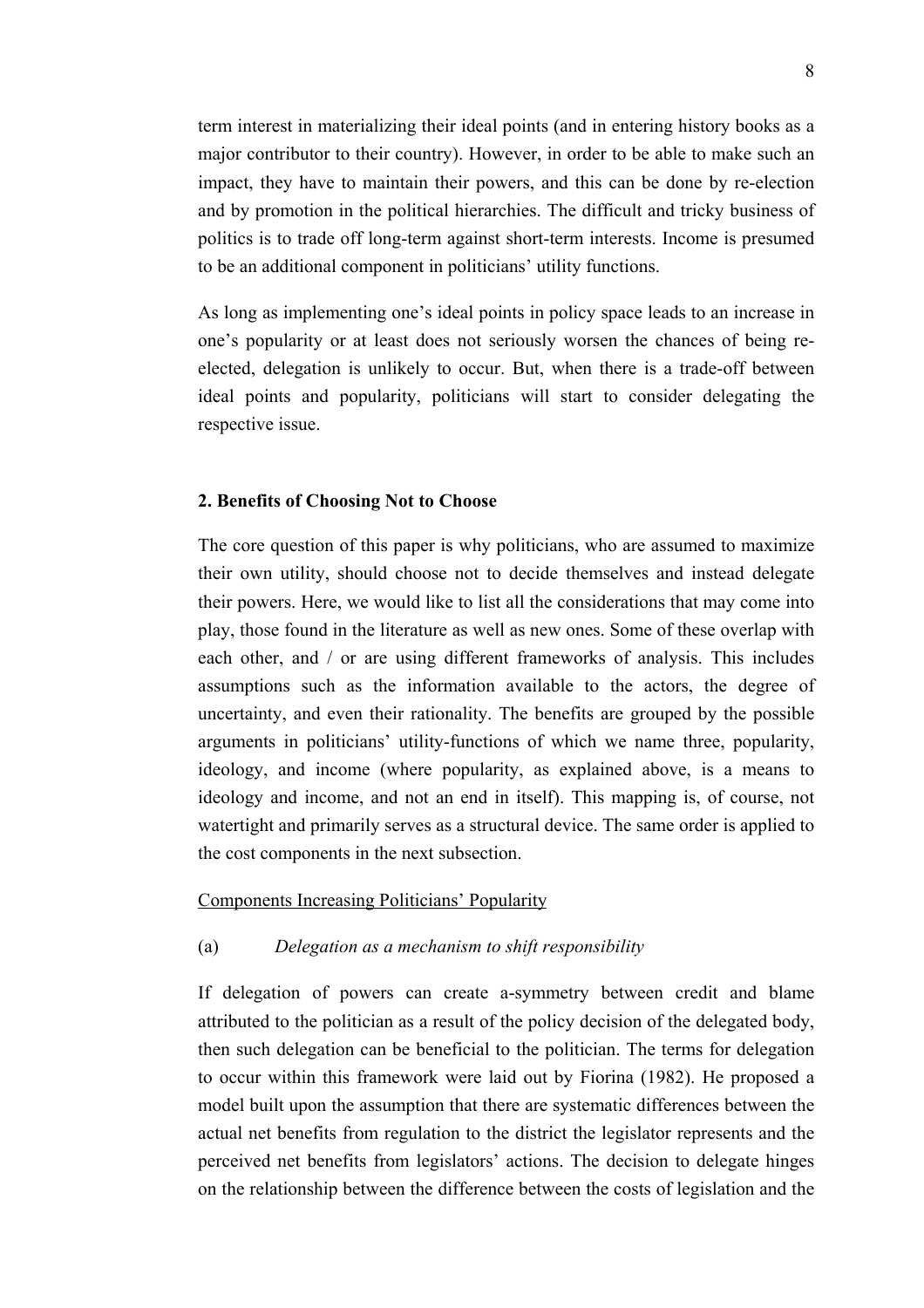term interest in materializing their ideal points (and in entering history books as a major contributor to their country). However, in order to be able to make such an impact, they have to maintain their powers, and this can be done by re-election and by promotion in the political hierarchies. The difficult and tricky business of politics is to trade off long-term against short-term interests. Income is presumed to be an additional component in politicians' utility functions.

As long as implementing one's ideal points in policy space leads to an increase in one's popularity or at least does not seriously worsen the chances of being reelected, delegation is unlikely to occur. But, when there is a trade-off between ideal points and popularity, politicians will start to consider delegating the respective issue.

#### **2. Benefits of Choosing Not to Choose**

The core question of this paper is why politicians, who are assumed to maximize their own utility, should choose not to decide themselves and instead delegate their powers. Here, we would like to list all the considerations that may come into play, those found in the literature as well as new ones. Some of these overlap with each other, and / or are using different frameworks of analysis. This includes assumptions such as the information available to the actors, the degree of uncertainty, and even their rationality. The benefits are grouped by the possible arguments in politicians' utility-functions of which we name three, popularity, ideology, and income (where popularity, as explained above, is a means to ideology and income, and not an end in itself). This mapping is, of course, not watertight and primarily serves as a structural device. The same order is applied to the cost components in the next subsection.

#### Components Increasing Politicians' Popularity

#### (a) *Delegation as a mechanism to shift responsibility*

If delegation of powers can create a-symmetry between credit and blame attributed to the politician as a result of the policy decision of the delegated body, then such delegation can be beneficial to the politician. The terms for delegation to occur within this framework were laid out by Fiorina (1982). He proposed a model built upon the assumption that there are systematic differences between the actual net benefits from regulation to the district the legislator represents and the perceived net benefits from legislators' actions. The decision to delegate hinges on the relationship between the difference between the costs of legislation and the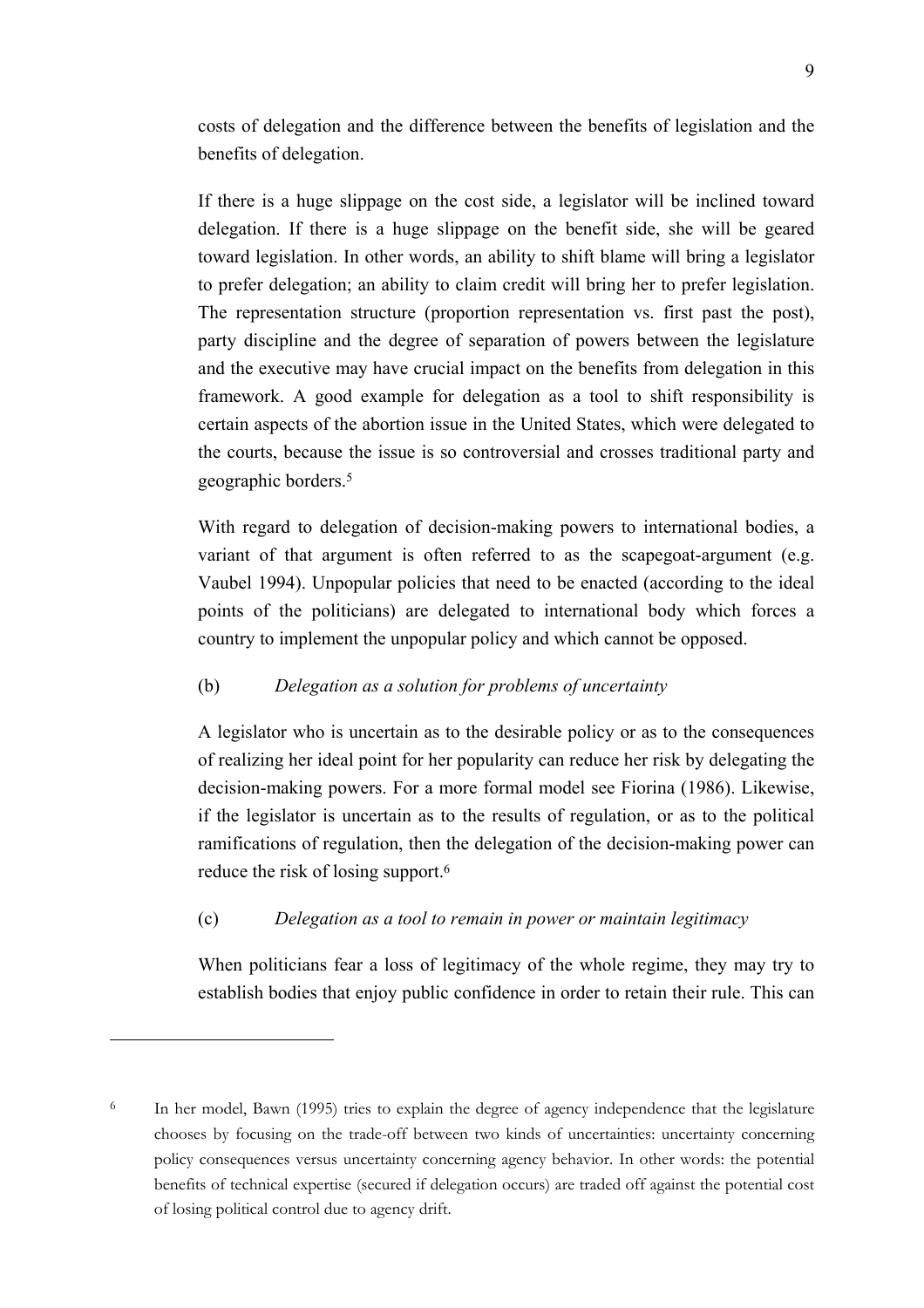costs of delegation and the difference between the benefits of legislation and the benefits of delegation.

If there is a huge slippage on the cost side, a legislator will be inclined toward delegation. If there is a huge slippage on the benefit side, she will be geared toward legislation. In other words, an ability to shift blame will bring a legislator to prefer delegation; an ability to claim credit will bring her to prefer legislation. The representation structure (proportion representation vs. first past the post), party discipline and the degree of separation of powers between the legislature and the executive may have crucial impact on the benefits from delegation in this framework. A good example for delegation as a tool to shift responsibility is certain aspects of the abortion issue in the United States, which were delegated to the courts, because the issue is so controversial and crosses traditional party and geographic borders[.5](#page-8-0)

With regard to delegation of decision-making powers to international bodies, a variant of that argument is often referred to as the scapegoat-argument (e.g. Vaubel 1994). Unpopular policies that need to be enacted (according to the ideal points of the politicians) are delegated to international body which forces a country to implement the unpopular policy and which cannot be opposed.

## (b) *Delegation as a solution for problems of uncertainty*

A legislator who is uncertain as to the desirable policy or as to the consequences of realizing her ideal point for her popularity can reduce her risk by delegating the decision-making powers. For a more formal model see Fiorina (1986). Likewise, if the legislator is uncertain as to the results of regulation, or as to the political ramifications of regulation, then the delegation of the decision-making power can reduce the risk of losing support.[6](#page-8-1)

## (c) *Delegation as a tool to remain in power or maintain legitimacy*

When politicians fear a loss of legitimacy of the whole regime, they may try to establish bodies that enjoy public confidence in order to retain their rule. This can

<span id="page-8-1"></span><span id="page-8-0"></span><sup>&</sup>lt;sup>6</sup> In her model, Bawn (1995) tries to explain the degree of agency independence that the legislature chooses by focusing on the trade-off between two kinds of uncertainties: uncertainty concerning policy consequences versus uncertainty concerning agency behavior. In other words: the potential benefits of technical expertise (secured if delegation occurs) are traded off against the potential cost of losing political control due to agency drift.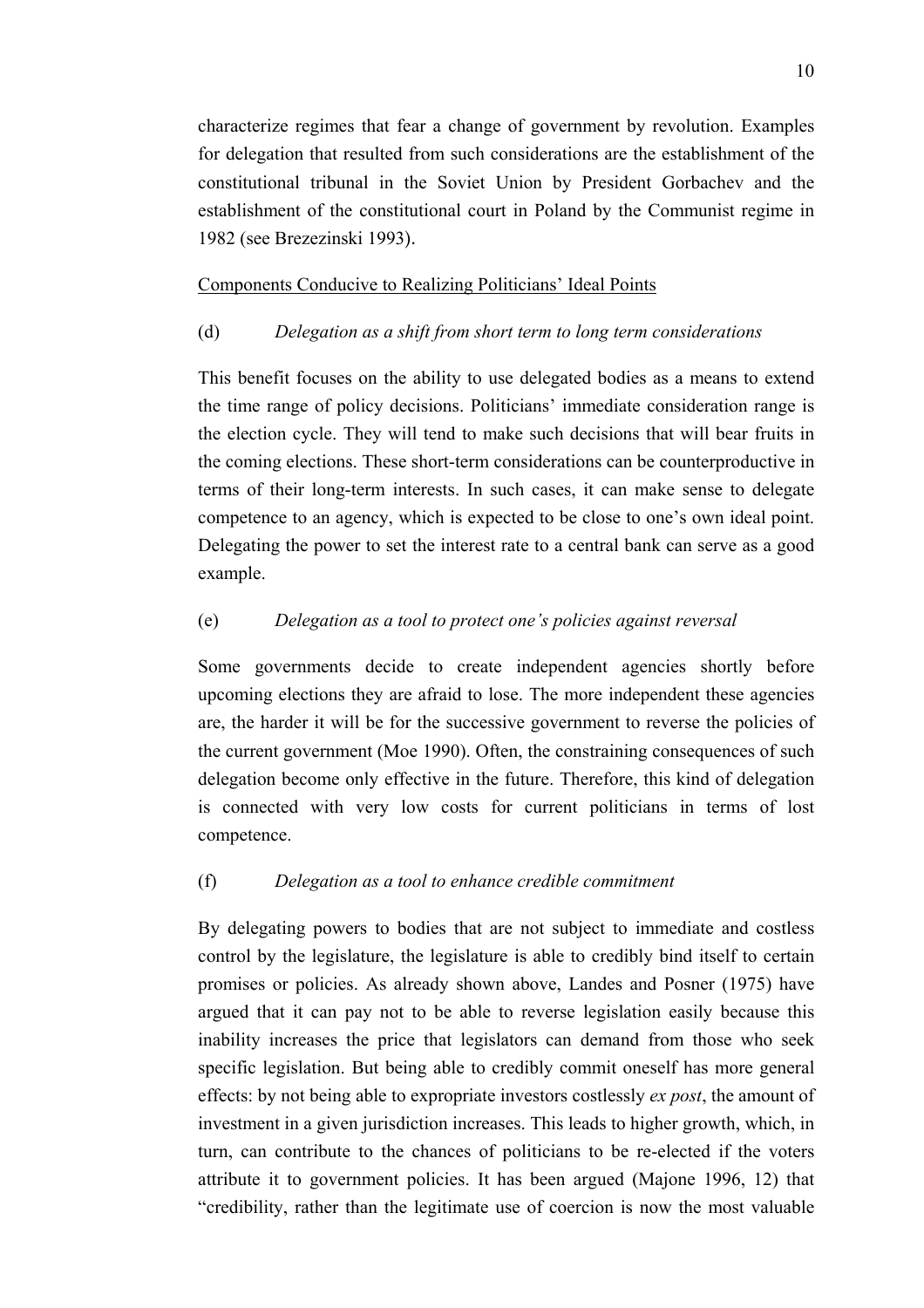characterize regimes that fear a change of government by revolution. Examples for delegation that resulted from such considerations are the establishment of the constitutional tribunal in the Soviet Union by President Gorbachev and the establishment of the constitutional court in Poland by the Communist regime in 1982 (see Brezezinski 1993).

## Components Conducive to Realizing Politicians' Ideal Points

#### (d) *Delegation as a shift from short term to long term considerations*

This benefit focuses on the ability to use delegated bodies as a means to extend the time range of policy decisions. Politicians' immediate consideration range is the election cycle. They will tend to make such decisions that will bear fruits in the coming elections. These short-term considerations can be counterproductive in terms of their long-term interests. In such cases, it can make sense to delegate competence to an agency, which is expected to be close to one's own ideal point. Delegating the power to set the interest rate to a central bank can serve as a good example.

### (e) *Delegation as a tool to protect one's policies against reversal*

Some governments decide to create independent agencies shortly before upcoming elections they are afraid to lose. The more independent these agencies are, the harder it will be for the successive government to reverse the policies of the current government (Moe 1990). Often, the constraining consequences of such delegation become only effective in the future. Therefore, this kind of delegation is connected with very low costs for current politicians in terms of lost competence.

#### (f) *Delegation as a tool to enhance credible commitment*

By delegating powers to bodies that are not subject to immediate and costless control by the legislature, the legislature is able to credibly bind itself to certain promises or policies. As already shown above, Landes and Posner (1975) have argued that it can pay not to be able to reverse legislation easily because this inability increases the price that legislators can demand from those who seek specific legislation. But being able to credibly commit oneself has more general effects: by not being able to expropriate investors costlessly *ex post*, the amount of investment in a given jurisdiction increases. This leads to higher growth, which, in turn, can contribute to the chances of politicians to be re-elected if the voters attribute it to government policies. It has been argued (Majone 1996, 12) that "credibility, rather than the legitimate use of coercion is now the most valuable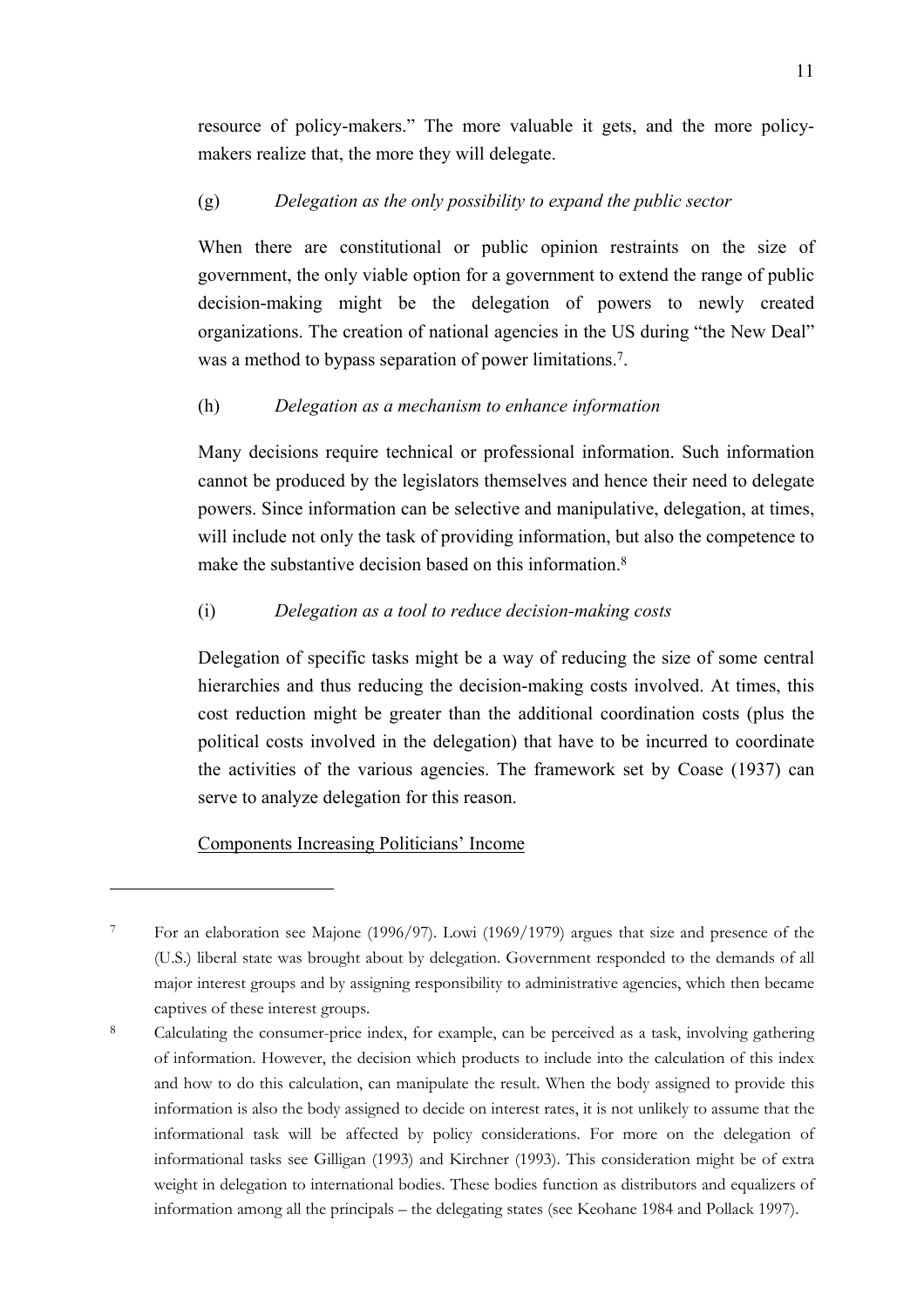resource of policy-makers." The more valuable it gets, and the more policymakers realize that, the more they will delegate.

## (g) *Delegation as the only possibility to expand the public sector*

When there are constitutional or public opinion restraints on the size of government, the only viable option for a government to extend the range of public decision-making might be the delegation of powers to newly created organizations. The creation of national agencies in the US during "the New Deal" was a method to bypass separation of power limitations.<sup>7</sup>.

# (h) *Delegation as a mechanism to enhance information*

Many decisions require technical or professional information. Such information cannot be produced by the legislators themselves and hence their need to delegate powers. Since information can be selective and manipulative, delegation, at times, will include not only the task of providing information, but also the competence to make the substantive decision based on this information.<sup>[8](#page-10-1)</sup>

# (i) *Delegation as a tool to reduce decision-making costs*

Delegation of specific tasks might be a way of reducing the size of some central hierarchies and thus reducing the decision-making costs involved. At times, this cost reduction might be greater than the additional coordination costs (plus the political costs involved in the delegation) that have to be incurred to coordinate the activities of the various agencies. The framework set by Coase (1937) can serve to analyze delegation for this reason.

## Components Increasing Politicians' Income

<span id="page-10-0"></span><sup>7</sup> For an elaboration see Majone (1996/97). Lowi (1969/1979) argues that size and presence of the (U.S.) liberal state was brought about by delegation. Government responded to the demands of all major interest groups and by assigning responsibility to administrative agencies, which then became captives of these interest groups.

<span id="page-10-1"></span><sup>8</sup> Calculating the consumer-price index, for example, can be perceived as a task, involving gathering of information. However, the decision which products to include into the calculation of this index and how to do this calculation, can manipulate the result. When the body assigned to provide this information is also the body assigned to decide on interest rates, it is not unlikely to assume that the informational task will be affected by policy considerations. For more on the delegation of informational tasks see Gilligan (1993) and Kirchner (1993). This consideration might be of extra weight in delegation to international bodies. These bodies function as distributors and equalizers of information among all the principals – the delegating states (see Keohane 1984 and Pollack 1997).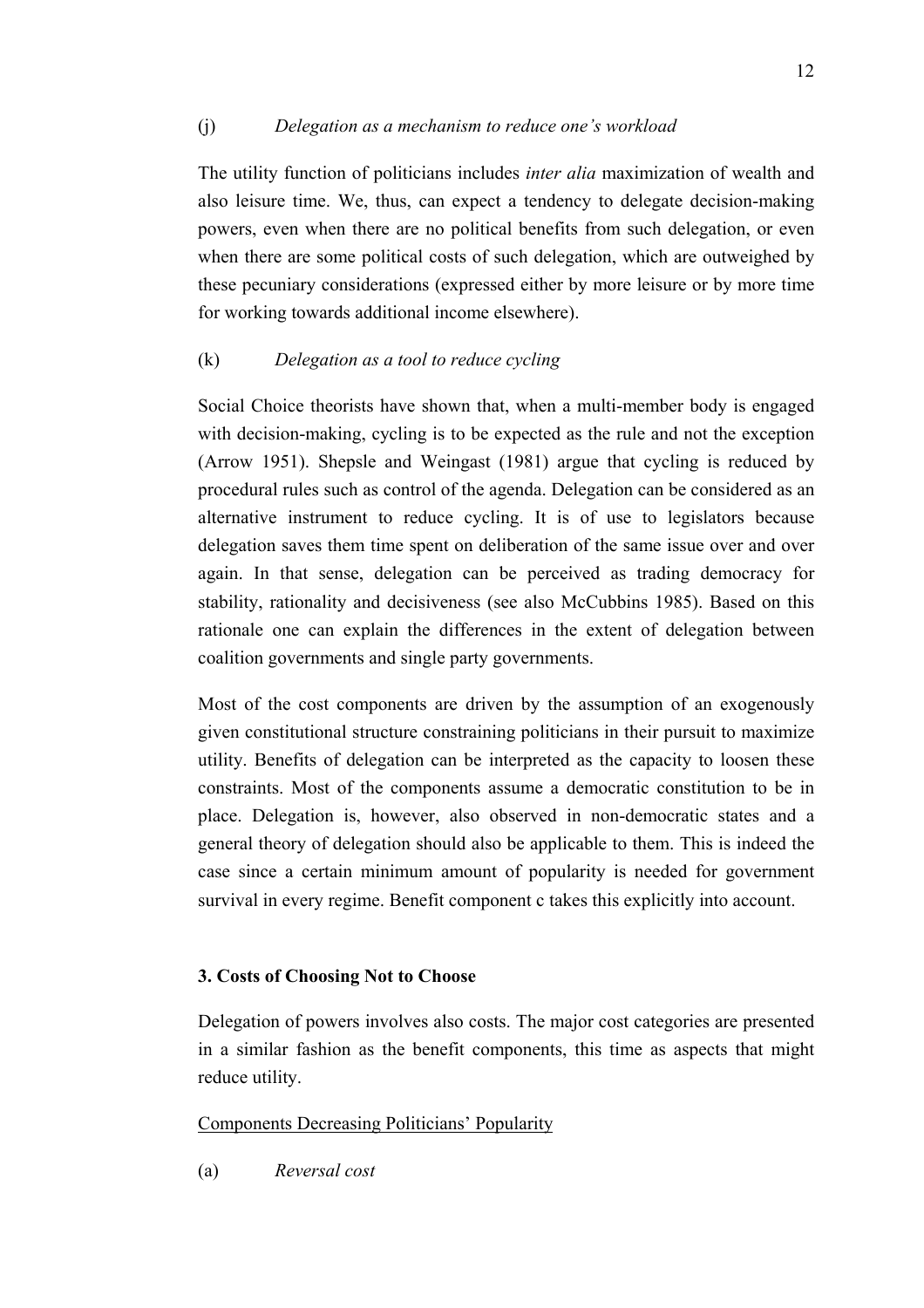### (j) *Delegation as a mechanism to reduce one's workload*

The utility function of politicians includes *inter alia* maximization of wealth and also leisure time. We, thus, can expect a tendency to delegate decision-making powers, even when there are no political benefits from such delegation, or even when there are some political costs of such delegation, which are outweighed by these pecuniary considerations (expressed either by more leisure or by more time for working towards additional income elsewhere).

## (k) *Delegation as a tool to reduce cycling*

Social Choice theorists have shown that, when a multi-member body is engaged with decision-making, cycling is to be expected as the rule and not the exception (Arrow 1951). Shepsle and Weingast (1981) argue that cycling is reduced by procedural rules such as control of the agenda. Delegation can be considered as an alternative instrument to reduce cycling. It is of use to legislators because delegation saves them time spent on deliberation of the same issue over and over again. In that sense, delegation can be perceived as trading democracy for stability, rationality and decisiveness (see also McCubbins 1985). Based on this rationale one can explain the differences in the extent of delegation between coalition governments and single party governments.

Most of the cost components are driven by the assumption of an exogenously given constitutional structure constraining politicians in their pursuit to maximize utility. Benefits of delegation can be interpreted as the capacity to loosen these constraints. Most of the components assume a democratic constitution to be in place. Delegation is, however, also observed in non-democratic states and a general theory of delegation should also be applicable to them. This is indeed the case since a certain minimum amount of popularity is needed for government survival in every regime. Benefit component c takes this explicitly into account.

#### **3. Costs of Choosing Not to Choose**

Delegation of powers involves also costs. The major cost categories are presented in a similar fashion as the benefit components, this time as aspects that might reduce utility.

## Components Decreasing Politicians' Popularity

(a) *Reversal cost*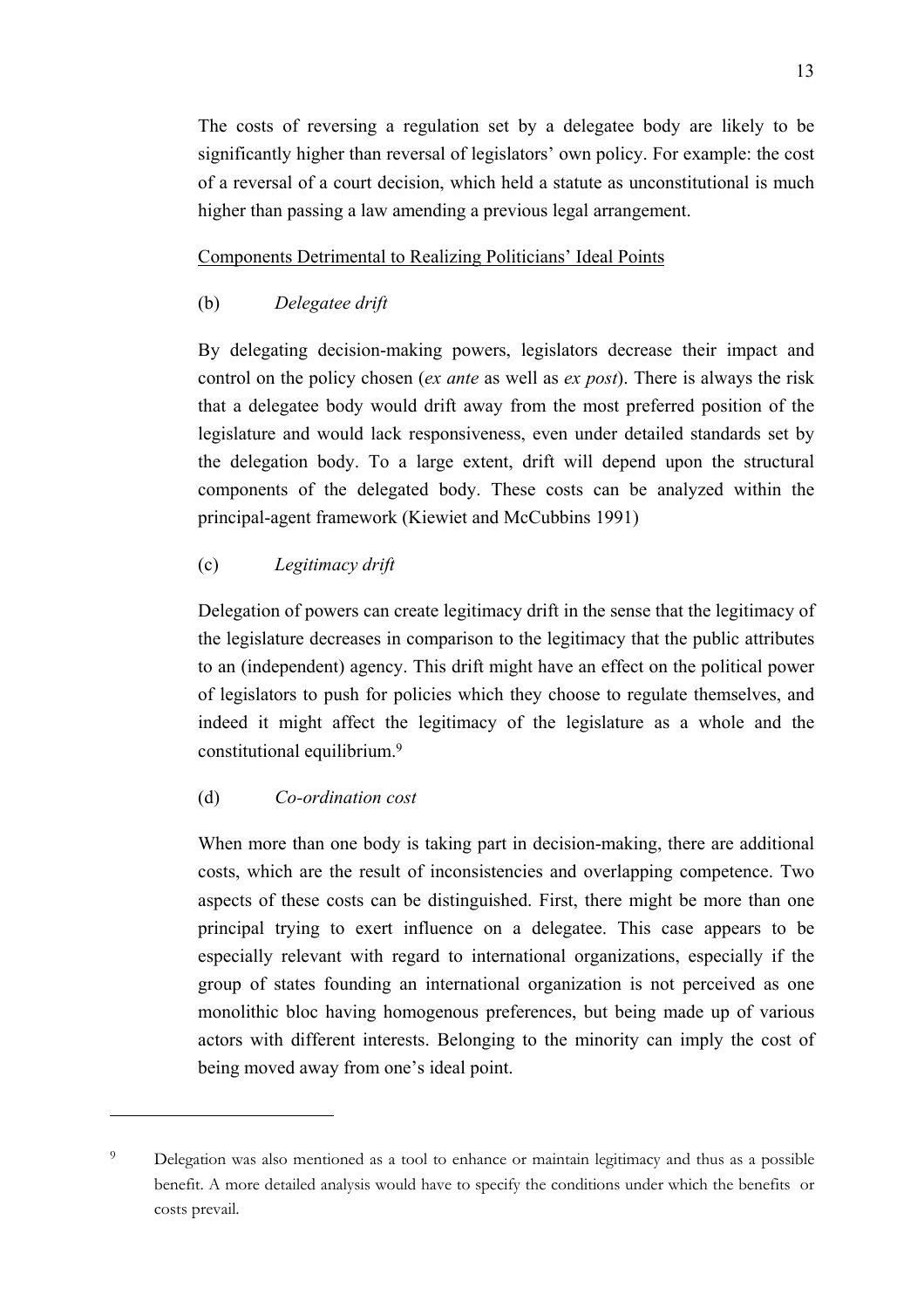The costs of reversing a regulation set by a delegatee body are likely to be significantly higher than reversal of legislators' own policy. For example: the cost of a reversal of a court decision, which held a statute as unconstitutional is much higher than passing a law amending a previous legal arrangement.

## Components Detrimental to Realizing Politicians' Ideal Points

## (b) *Delegatee drift*

By delegating decision-making powers, legislators decrease their impact and control on the policy chosen (*ex ante* as well as *ex post*). There is always the risk that a delegatee body would drift away from the most preferred position of the legislature and would lack responsiveness, even under detailed standards set by the delegation body. To a large extent, drift will depend upon the structural components of the delegated body. These costs can be analyzed within the principal-agent framework (Kiewiet and McCubbins 1991)

## (c) *Legitimacy drift*

Delegation of powers can create legitimacy drift in the sense that the legitimacy of the legislature decreases in comparison to the legitimacy that the public attributes to an (independent) agency. This drift might have an effect on the political power of legislators to push for policies which they choose to regulate themselves, and indeed it might affect the legitimacy of the legislature as a whole and the constitutional equilibrium[.9](#page-12-0)

## (d) *Co-ordination cost*

1

When more than one body is taking part in decision-making, there are additional costs, which are the result of inconsistencies and overlapping competence. Two aspects of these costs can be distinguished. First, there might be more than one principal trying to exert influence on a delegatee. This case appears to be especially relevant with regard to international organizations, especially if the group of states founding an international organization is not perceived as one monolithic bloc having homogenous preferences, but being made up of various actors with different interests. Belonging to the minority can imply the cost of being moved away from one's ideal point.

<span id="page-12-0"></span><sup>&</sup>lt;sup>9</sup> Delegation was also mentioned as a tool to enhance or maintain legitimacy and thus as a possible benefit. A more detailed analysis would have to specify the conditions under which the benefits or costs prevail.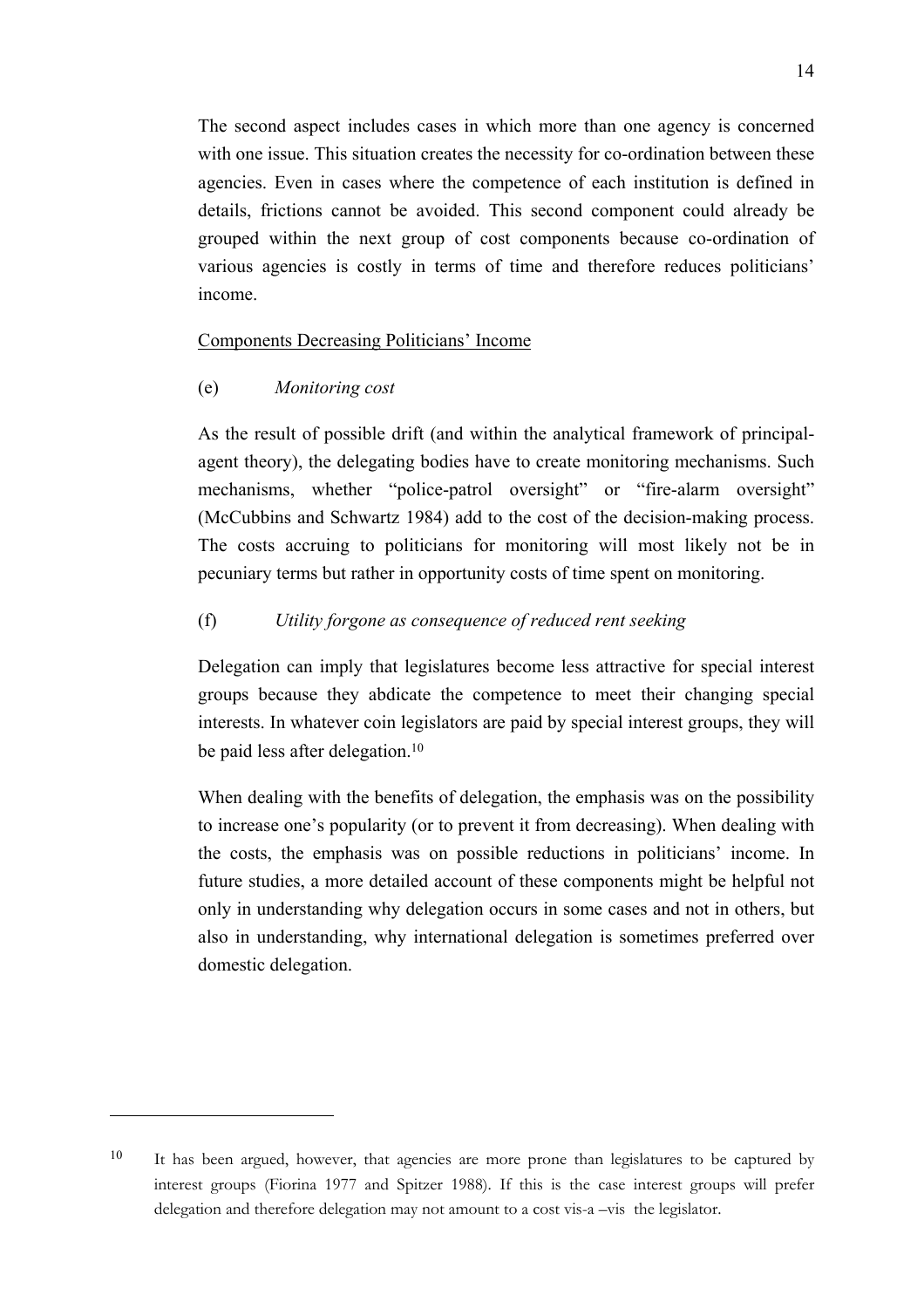The second aspect includes cases in which more than one agency is concerned with one issue. This situation creates the necessity for co-ordination between these agencies. Even in cases where the competence of each institution is defined in details, frictions cannot be avoided. This second component could already be grouped within the next group of cost components because co-ordination of various agencies is costly in terms of time and therefore reduces politicians' income.

## Components Decreasing Politicians' Income

## (e) *Monitoring cost*

1

As the result of possible drift (and within the analytical framework of principalagent theory), the delegating bodies have to create monitoring mechanisms. Such mechanisms, whether "police-patrol oversight" or "fire-alarm oversight" (McCubbins and Schwartz 1984) add to the cost of the decision-making process. The costs accruing to politicians for monitoring will most likely not be in pecuniary terms but rather in opportunity costs of time spent on monitoring.

## (f) *Utility forgone as consequence of reduced rent seeking*

Delegation can imply that legislatures become less attractive for special interest groups because they abdicate the competence to meet their changing special interests. In whatever coin legislators are paid by special interest groups, they will be paid less after delegation.[10](#page-13-0)

When dealing with the benefits of delegation, the emphasis was on the possibility to increase one's popularity (or to prevent it from decreasing). When dealing with the costs, the emphasis was on possible reductions in politicians' income. In future studies, a more detailed account of these components might be helpful not only in understanding why delegation occurs in some cases and not in others, but also in understanding, why international delegation is sometimes preferred over domestic delegation.

<span id="page-13-0"></span><sup>&</sup>lt;sup>10</sup> It has been argued, however, that agencies are more prone than legislatures to be captured by interest groups (Fiorina 1977 and Spitzer 1988). If this is the case interest groups will prefer delegation and therefore delegation may not amount to a cost vis-a –vis the legislator.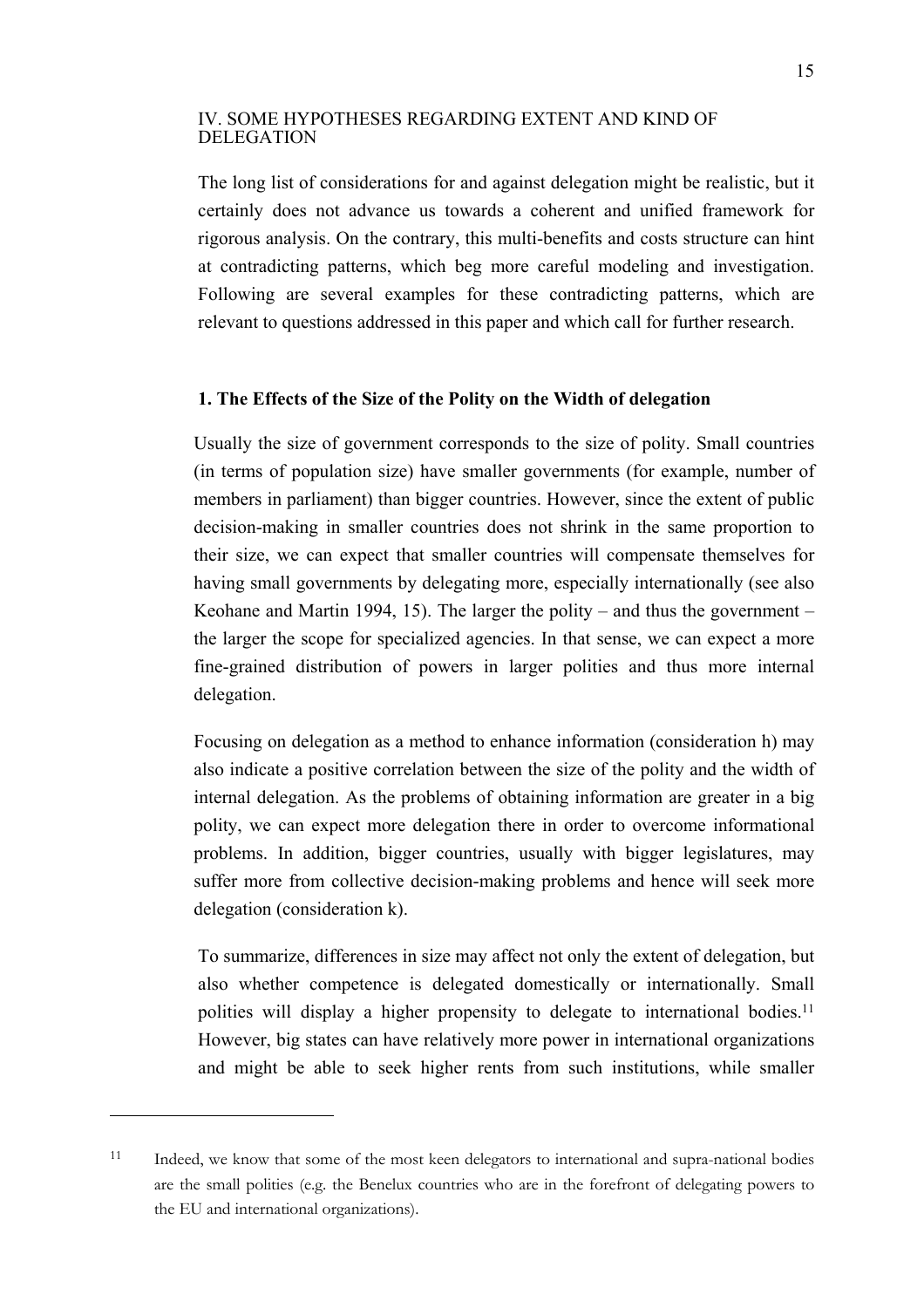#### IV. SOME HYPOTHESES REGARDING EXTENT AND KIND OF DELEGATION

The long list of considerations for and against delegation might be realistic, but it certainly does not advance us towards a coherent and unified framework for rigorous analysis. On the contrary, this multi-benefits and costs structure can hint at contradicting patterns, which beg more careful modeling and investigation. Following are several examples for these contradicting patterns, which are relevant to questions addressed in this paper and which call for further research.

#### **1. The Effects of the Size of the Polity on the Width of delegation**

Usually the size of government corresponds to the size of polity. Small countries (in terms of population size) have smaller governments (for example, number of members in parliament) than bigger countries. However, since the extent of public decision-making in smaller countries does not shrink in the same proportion to their size, we can expect that smaller countries will compensate themselves for having small governments by delegating more, especially internationally (see also Keohane and Martin 1994, 15). The larger the polity – and thus the government – the larger the scope for specialized agencies. In that sense, we can expect a more fine-grained distribution of powers in larger polities and thus more internal delegation.

Focusing on delegation as a method to enhance information (consideration h) may also indicate a positive correlation between the size of the polity and the width of internal delegation. As the problems of obtaining information are greater in a big polity, we can expect more delegation there in order to overcome informational problems. In addition, bigger countries, usually with bigger legislatures, may suffer more from collective decision-making problems and hence will seek more delegation (consideration k).

To summarize, differences in size may affect not only the extent of delegation, but also whether competence is delegated domestically or internationally. Small polities will display a higher propensity to delegate to international bodies.<sup>[11](#page-14-0)</sup> However, big states can have relatively more power in international organizations and might be able to seek higher rents from such institutions, while smaller

<span id="page-14-0"></span><sup>11</sup> Indeed, we know that some of the most keen delegators to international and supra-national bodies are the small polities (e.g. the Benelux countries who are in the forefront of delegating powers to the EU and international organizations).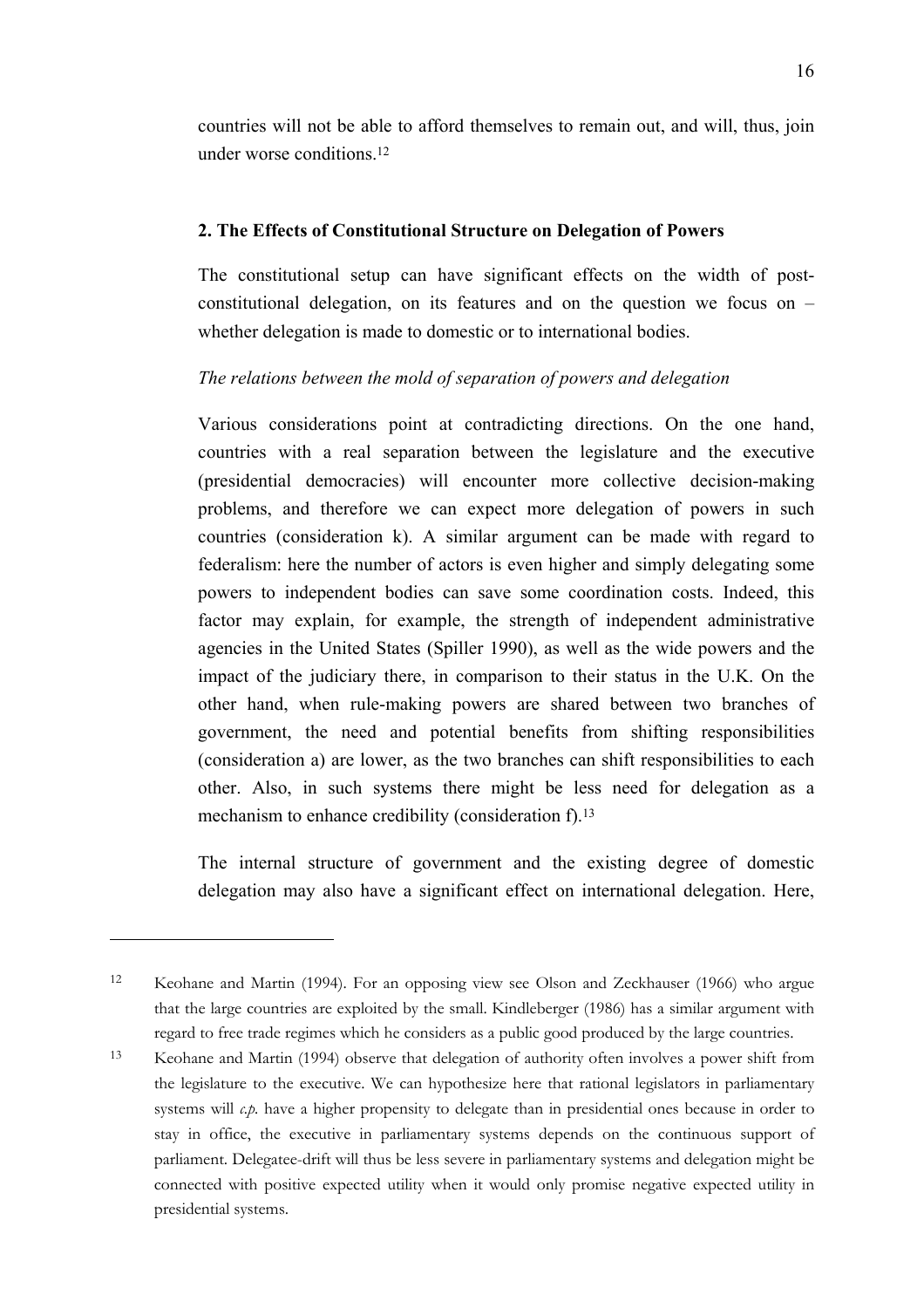countries will not be able to afford themselves to remain out, and will, thus, join under worse conditions.[12](#page-15-0)

## **2. The Effects of Constitutional Structure on Delegation of Powers**

The constitutional setup can have significant effects on the width of postconstitutional delegation, on its features and on the question we focus on – whether delegation is made to domestic or to international bodies.

## *The relations between the mold of separation of powers and delegation*

Various considerations point at contradicting directions. On the one hand, countries with a real separation between the legislature and the executive (presidential democracies) will encounter more collective decision-making problems, and therefore we can expect more delegation of powers in such countries (consideration k). A similar argument can be made with regard to federalism: here the number of actors is even higher and simply delegating some powers to independent bodies can save some coordination costs. Indeed, this factor may explain, for example, the strength of independent administrative agencies in the United States (Spiller 1990), as well as the wide powers and the impact of the judiciary there, in comparison to their status in the U.K. On the other hand, when rule-making powers are shared between two branches of government, the need and potential benefits from shifting responsibilities (consideration a) are lower, as the two branches can shift responsibilities to each other. Also, in such systems there might be less need for delegation as a mechanism to enhance credibility (consideration f).<sup>13</sup>

The internal structure of government and the existing degree of domestic delegation may also have a significant effect on international delegation. Here,

<u>.</u>

<span id="page-15-0"></span><sup>12</sup> Keohane and Martin (1994). For an opposing view see Olson and Zeckhauser (1966) who argue that the large countries are exploited by the small. Kindleberger (1986) has a similar argument with regard to free trade regimes which he considers as a public good produced by the large countries.

<span id="page-15-1"></span><sup>13</sup> Keohane and Martin (1994) observe that delegation of authority often involves a power shift from the legislature to the executive. We can hypothesize here that rational legislators in parliamentary systems will *c.p.* have a higher propensity to delegate than in presidential ones because in order to stay in office, the executive in parliamentary systems depends on the continuous support of parliament. Delegatee-drift will thus be less severe in parliamentary systems and delegation might be connected with positive expected utility when it would only promise negative expected utility in presidential systems.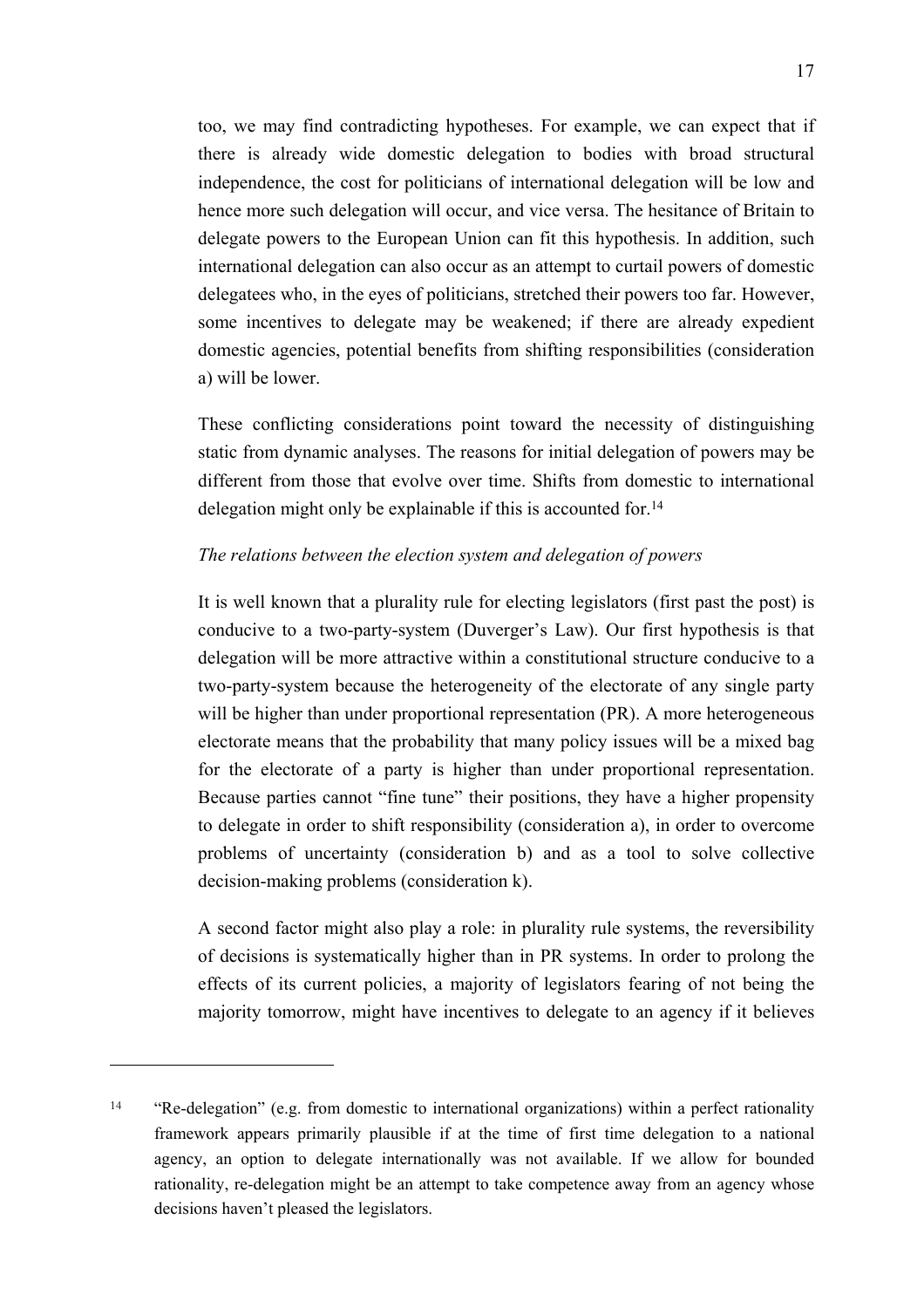too, we may find contradicting hypotheses. For example, we can expect that if there is already wide domestic delegation to bodies with broad structural independence, the cost for politicians of international delegation will be low and hence more such delegation will occur, and vice versa. The hesitance of Britain to delegate powers to the European Union can fit this hypothesis. In addition, such international delegation can also occur as an attempt to curtail powers of domestic delegatees who, in the eyes of politicians, stretched their powers too far. However, some incentives to delegate may be weakened; if there are already expedient domestic agencies, potential benefits from shifting responsibilities (consideration a) will be lower.

These conflicting considerations point toward the necessity of distinguishing static from dynamic analyses. The reasons for initial delegation of powers may be different from those that evolve over time. Shifts from domestic to international delegation might only be explainable if this is accounted for[.14](#page-16-0)

## *The relations between the election system and delegation of powers*

It is well known that a plurality rule for electing legislators (first past the post) is conducive to a two-party-system (Duverger's Law). Our first hypothesis is that delegation will be more attractive within a constitutional structure conducive to a two-party-system because the heterogeneity of the electorate of any single party will be higher than under proportional representation (PR). A more heterogeneous electorate means that the probability that many policy issues will be a mixed bag for the electorate of a party is higher than under proportional representation. Because parties cannot "fine tune" their positions, they have a higher propensity to delegate in order to shift responsibility (consideration a), in order to overcome problems of uncertainty (consideration b) and as a tool to solve collective decision-making problems (consideration k).

A second factor might also play a role: in plurality rule systems, the reversibility of decisions is systematically higher than in PR systems. In order to prolong the effects of its current policies, a majority of legislators fearing of not being the majority tomorrow, might have incentives to delegate to an agency if it believes

<u>.</u>

<span id="page-16-0"></span><sup>&</sup>lt;sup>14</sup> "Re-delegation" (e.g. from domestic to international organizations) within a perfect rationality framework appears primarily plausible if at the time of first time delegation to a national agency, an option to delegate internationally was not available. If we allow for bounded rationality, re-delegation might be an attempt to take competence away from an agency whose decisions haven't pleased the legislators.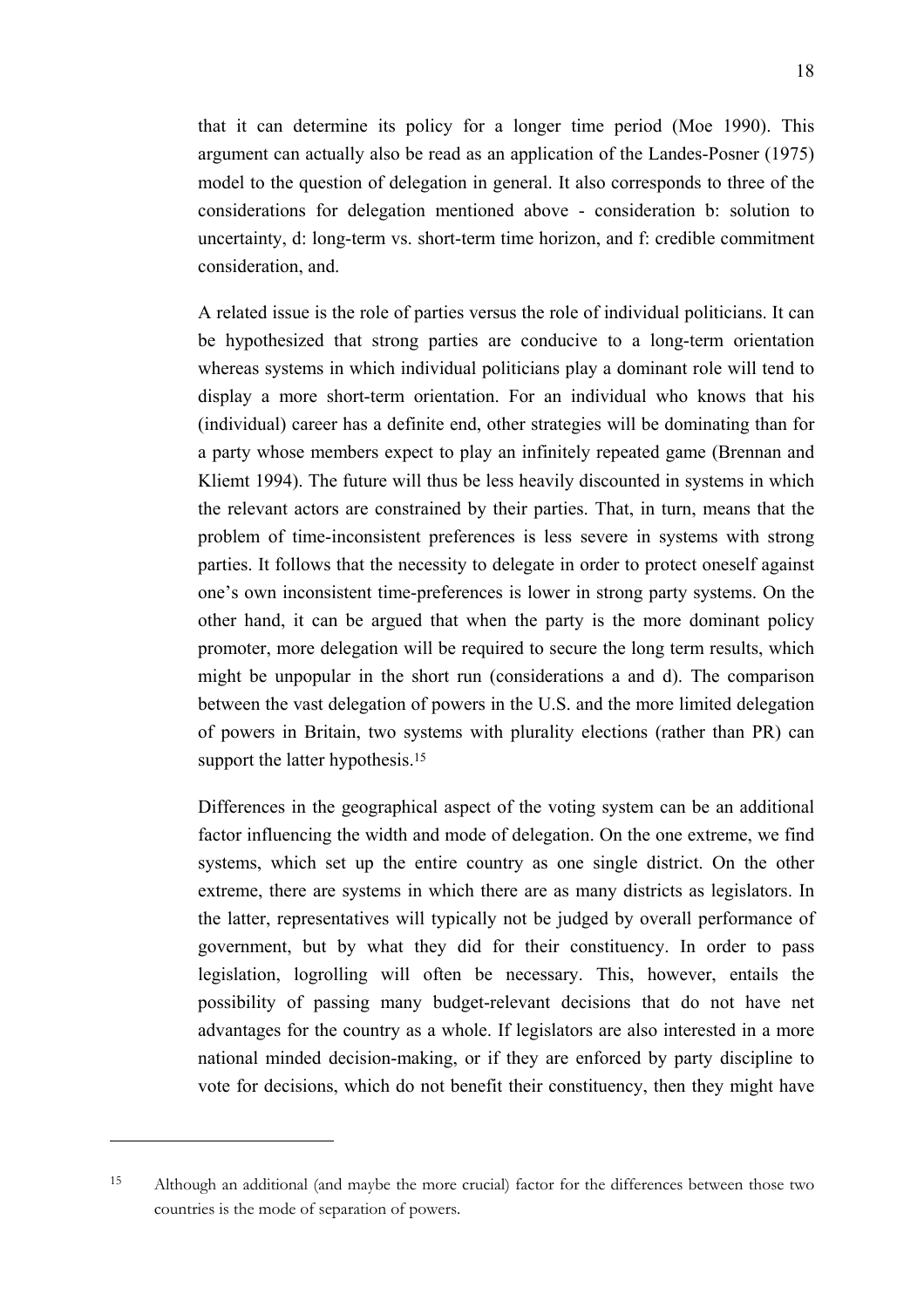that it can determine its policy for a longer time period (Moe 1990). This argument can actually also be read as an application of the Landes-Posner (1975) model to the question of delegation in general. It also corresponds to three of the considerations for delegation mentioned above - consideration b: solution to uncertainty, d: long-term vs. short-term time horizon, and f: credible commitment consideration, and.

A related issue is the role of parties versus the role of individual politicians. It can be hypothesized that strong parties are conducive to a long-term orientation whereas systems in which individual politicians play a dominant role will tend to display a more short-term orientation. For an individual who knows that his (individual) career has a definite end, other strategies will be dominating than for a party whose members expect to play an infinitely repeated game (Brennan and Kliemt 1994). The future will thus be less heavily discounted in systems in which the relevant actors are constrained by their parties. That, in turn, means that the problem of time-inconsistent preferences is less severe in systems with strong parties. It follows that the necessity to delegate in order to protect oneself against one's own inconsistent time-preferences is lower in strong party systems. On the other hand, it can be argued that when the party is the more dominant policy promoter, more delegation will be required to secure the long term results, which might be unpopular in the short run (considerations a and d). The comparison between the vast delegation of powers in the U.S. and the more limited delegation of powers in Britain, two systems with plurality elections (rather than PR) can support the latter hypothesis.<sup>[15](#page-17-0)</sup>

Differences in the geographical aspect of the voting system can be an additional factor influencing the width and mode of delegation. On the one extreme, we find systems, which set up the entire country as one single district. On the other extreme, there are systems in which there are as many districts as legislators. In the latter, representatives will typically not be judged by overall performance of government, but by what they did for their constituency. In order to pass legislation, logrolling will often be necessary. This, however, entails the possibility of passing many budget-relevant decisions that do not have net advantages for the country as a whole. If legislators are also interested in a more national minded decision-making, or if they are enforced by party discipline to vote for decisions, which do not benefit their constituency, then they might have

<span id="page-17-0"></span><sup>15</sup> Although an additional (and maybe the more crucial) factor for the differences between those two countries is the mode of separation of powers.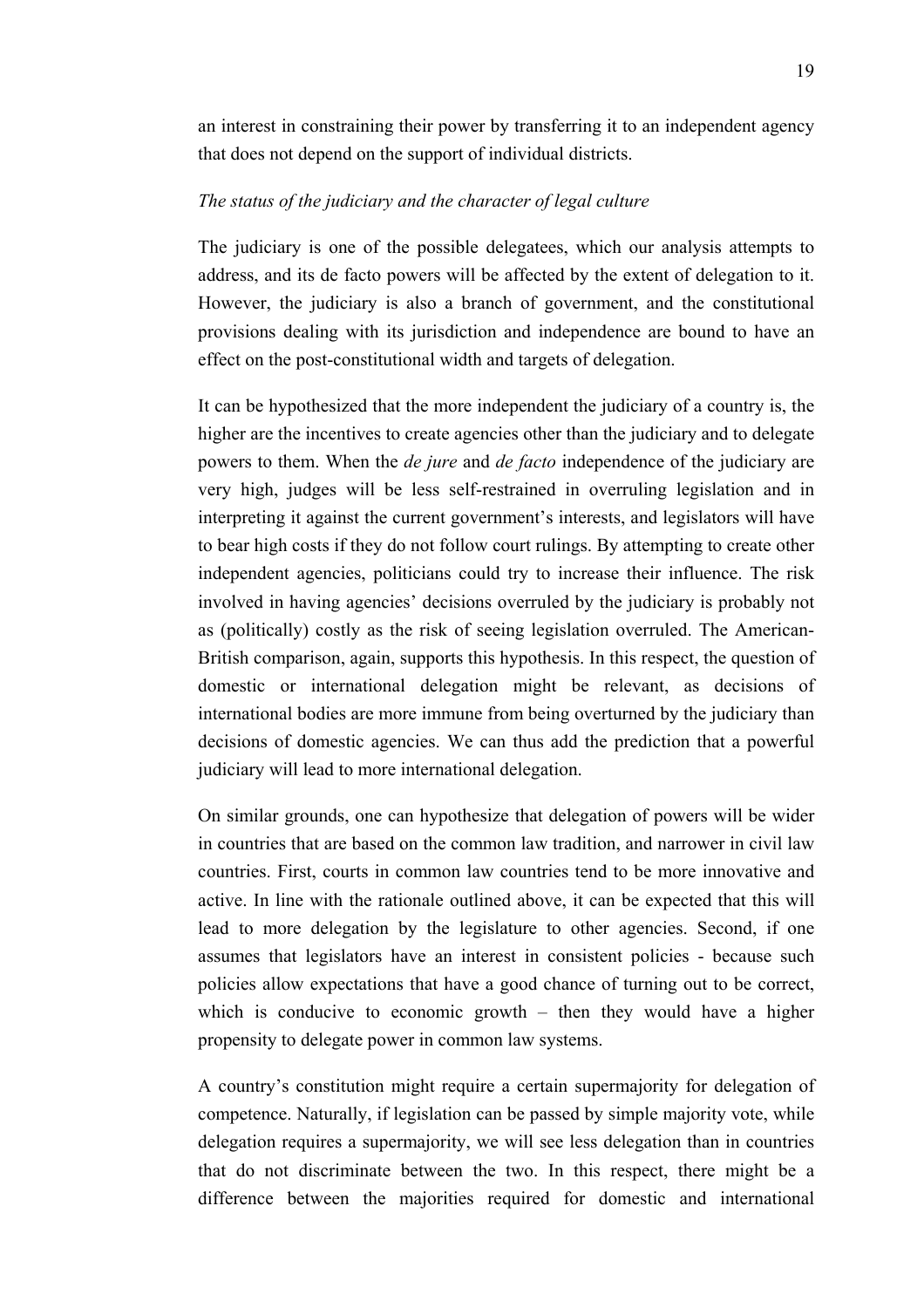an interest in constraining their power by transferring it to an independent agency that does not depend on the support of individual districts.

## *The status of the judiciary and the character of legal culture*

The judiciary is one of the possible delegatees, which our analysis attempts to address, and its de facto powers will be affected by the extent of delegation to it. However, the judiciary is also a branch of government, and the constitutional provisions dealing with its jurisdiction and independence are bound to have an effect on the post-constitutional width and targets of delegation.

It can be hypothesized that the more independent the judiciary of a country is, the higher are the incentives to create agencies other than the judiciary and to delegate powers to them. When the *de jure* and *de facto* independence of the judiciary are very high, judges will be less self-restrained in overruling legislation and in interpreting it against the current government's interests, and legislators will have to bear high costs if they do not follow court rulings. By attempting to create other independent agencies, politicians could try to increase their influence. The risk involved in having agencies' decisions overruled by the judiciary is probably not as (politically) costly as the risk of seeing legislation overruled. The American-British comparison, again, supports this hypothesis. In this respect, the question of domestic or international delegation might be relevant, as decisions of international bodies are more immune from being overturned by the judiciary than decisions of domestic agencies. We can thus add the prediction that a powerful judiciary will lead to more international delegation.

On similar grounds, one can hypothesize that delegation of powers will be wider in countries that are based on the common law tradition, and narrower in civil law countries. First, courts in common law countries tend to be more innovative and active. In line with the rationale outlined above, it can be expected that this will lead to more delegation by the legislature to other agencies. Second, if one assumes that legislators have an interest in consistent policies - because such policies allow expectations that have a good chance of turning out to be correct, which is conducive to economic growth – then they would have a higher propensity to delegate power in common law systems.

A country's constitution might require a certain supermajority for delegation of competence. Naturally, if legislation can be passed by simple majority vote, while delegation requires a supermajority, we will see less delegation than in countries that do not discriminate between the two. In this respect, there might be a difference between the majorities required for domestic and international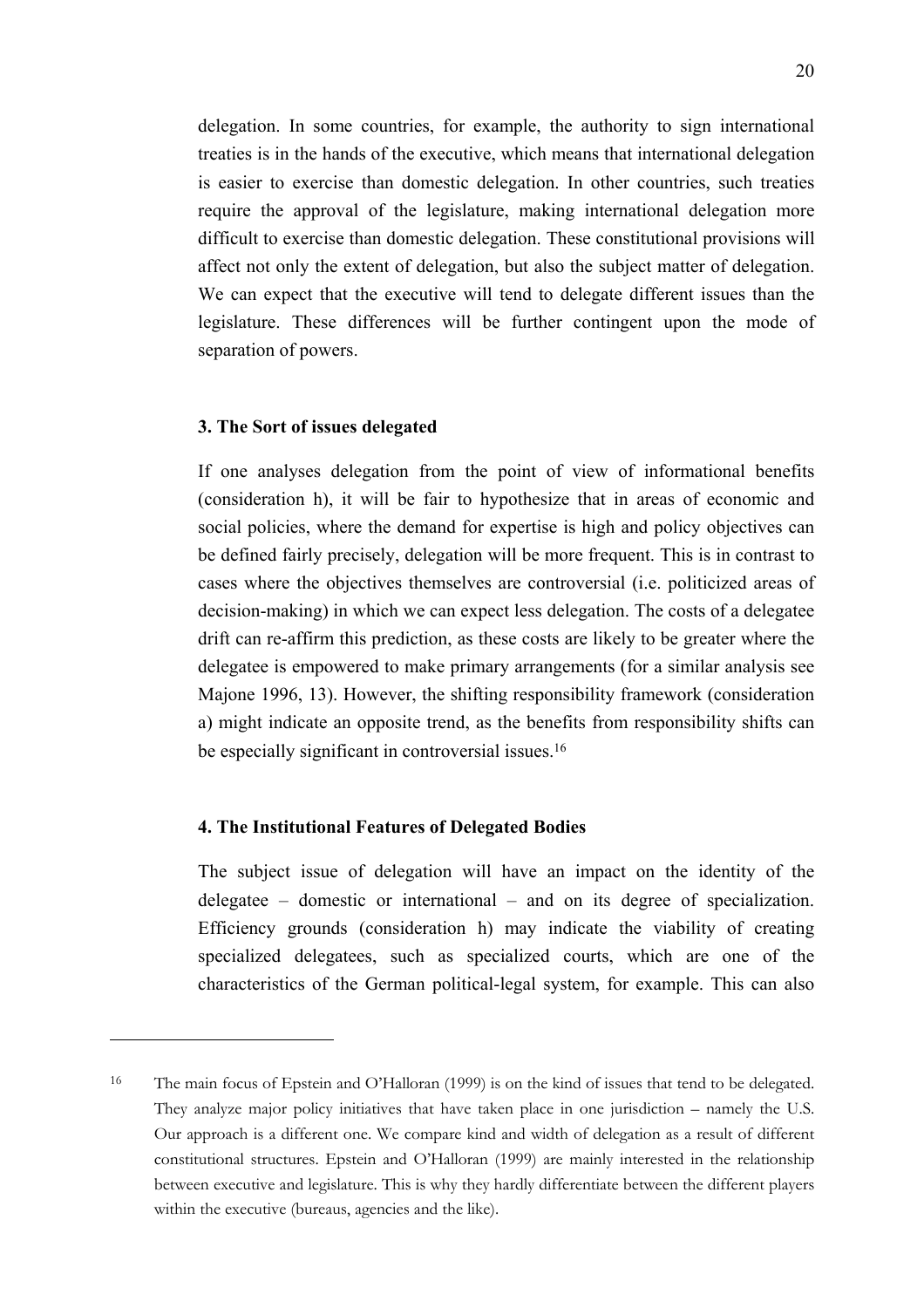delegation. In some countries, for example, the authority to sign international treaties is in the hands of the executive, which means that international delegation is easier to exercise than domestic delegation. In other countries, such treaties require the approval of the legislature, making international delegation more difficult to exercise than domestic delegation. These constitutional provisions will affect not only the extent of delegation, but also the subject matter of delegation. We can expect that the executive will tend to delegate different issues than the legislature. These differences will be further contingent upon the mode of separation of powers.

#### **3. The Sort of issues delegated**

If one analyses delegation from the point of view of informational benefits (consideration h), it will be fair to hypothesize that in areas of economic and social policies, where the demand for expertise is high and policy objectives can be defined fairly precisely, delegation will be more frequent. This is in contrast to cases where the objectives themselves are controversial (i.e. politicized areas of decision-making) in which we can expect less delegation. The costs of a delegatee drift can re-affirm this prediction, as these costs are likely to be greater where the delegatee is empowered to make primary arrangements (for a similar analysis see Majone 1996, 13). However, the shifting responsibility framework (consideration a) might indicate an opposite trend, as the benefits from responsibility shifts can be especially significant in controversial issues.<sup>[16](#page-19-0)</sup>

#### **4. The Institutional Features of Delegated Bodies**

1

The subject issue of delegation will have an impact on the identity of the delegatee – domestic or international – and on its degree of specialization. Efficiency grounds (consideration h) may indicate the viability of creating specialized delegatees, such as specialized courts, which are one of the characteristics of the German political-legal system, for example. This can also

<span id="page-19-0"></span><sup>16</sup> The main focus of Epstein and O'Halloran (1999) is on the kind of issues that tend to be delegated. They analyze major policy initiatives that have taken place in one jurisdiction – namely the U.S. Our approach is a different one. We compare kind and width of delegation as a result of different constitutional structures. Epstein and O'Halloran (1999) are mainly interested in the relationship between executive and legislature. This is why they hardly differentiate between the different players within the executive (bureaus, agencies and the like).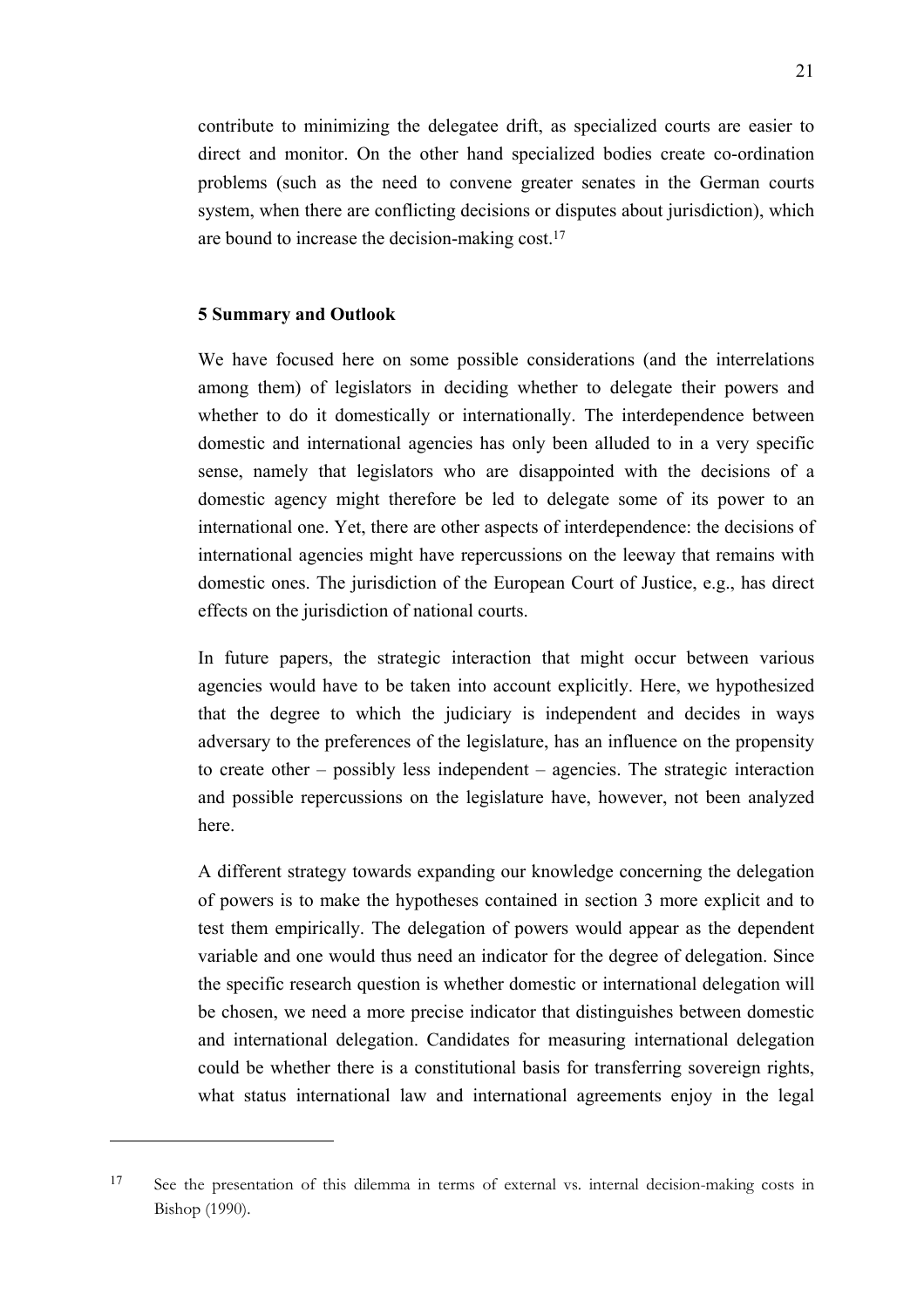contribute to minimizing the delegatee drift, as specialized courts are easier to direct and monitor. On the other hand specialized bodies create co-ordination problems (such as the need to convene greater senates in the German courts system, when there are conflicting decisions or disputes about jurisdiction), which are bound to increase the decision-making cost[.17](#page-20-0)

### **5 Summary and Outlook**

1

We have focused here on some possible considerations (and the interrelations among them) of legislators in deciding whether to delegate their powers and whether to do it domestically or internationally. The interdependence between domestic and international agencies has only been alluded to in a very specific sense, namely that legislators who are disappointed with the decisions of a domestic agency might therefore be led to delegate some of its power to an international one. Yet, there are other aspects of interdependence: the decisions of international agencies might have repercussions on the leeway that remains with domestic ones. The jurisdiction of the European Court of Justice, e.g., has direct effects on the jurisdiction of national courts.

In future papers, the strategic interaction that might occur between various agencies would have to be taken into account explicitly. Here, we hypothesized that the degree to which the judiciary is independent and decides in ways adversary to the preferences of the legislature, has an influence on the propensity to create other – possibly less independent – agencies. The strategic interaction and possible repercussions on the legislature have, however, not been analyzed here.

A different strategy towards expanding our knowledge concerning the delegation of powers is to make the hypotheses contained in section 3 more explicit and to test them empirically. The delegation of powers would appear as the dependent variable and one would thus need an indicator for the degree of delegation. Since the specific research question is whether domestic or international delegation will be chosen, we need a more precise indicator that distinguishes between domestic and international delegation. Candidates for measuring international delegation could be whether there is a constitutional basis for transferring sovereign rights, what status international law and international agreements enjoy in the legal

<span id="page-20-0"></span><sup>17</sup> See the presentation of this dilemma in terms of external vs. internal decision-making costs in Bishop (1990).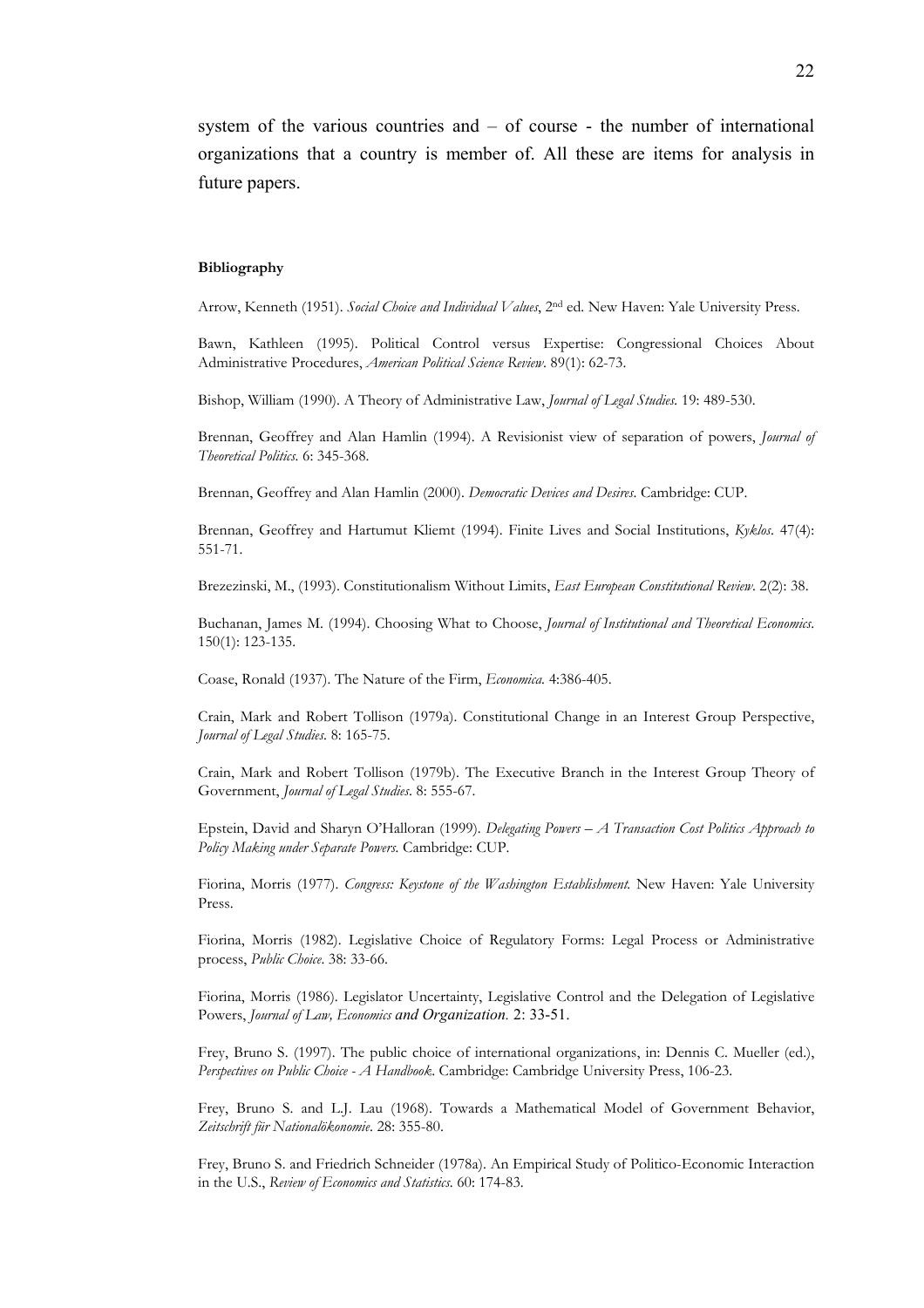system of the various countries and – of course - the number of international organizations that a country is member of. All these are items for analysis in future papers.

#### **Bibliography**

Arrow, Kenneth (1951). *Social Choice and Individual Values*, 2nd ed. New Haven: Yale University Press.

Bawn, Kathleen (1995). Political Control versus Expertise: Congressional Choices About Administrative Procedures, *American Political Science Review*. 89(1): 62-73.

Bishop, William (1990). A Theory of Administrative Law, *Journal of Legal Studies.* 19: 489-530.

Brennan, Geoffrey and Alan Hamlin (1994). A Revisionist view of separation of powers, *Journal of Theoretical Politics.* 6: 345-368.

Brennan, Geoffrey and Alan Hamlin (2000). *Democratic Devices and Desires*. Cambridge: CUP.

Brennan, Geoffrey and Hartumut Kliemt (1994). Finite Lives and Social Institutions, *Kyklos*. 47(4): 551-71.

Brezezinski, M., (1993). Constitutionalism Without Limits, *East European Constitutional Review*. 2(2): 38.

Buchanan, James M. (1994). Choosing What to Choose, *Journal of Institutional and Theoretical Economics*. 150(1): 123-135.

Coase, Ronald (1937). The Nature of the Firm, *Economica.* 4:386-405.

Crain, Mark and Robert Tollison (1979a). Constitutional Change in an Interest Group Perspective, *Journal of Legal Studies*. 8: 165-75.

Crain, Mark and Robert Tollison (1979b). The Executive Branch in the Interest Group Theory of Government, *Journal of Legal Studies*. 8: 555-67.

Epstein, David and Sharyn O'Halloran (1999). *Delegating Powers – A Transaction Cost Politics Approach to Policy Making under Separate Powers.* Cambridge: CUP.

Fiorina, Morris (1977). *Congress: Keystone of the Washington Establishment.* New Haven: Yale University Press.

Fiorina, Morris (1982). Legislative Choice of Regulatory Forms: Legal Process or Administrative process, *Public Choice*. 38: 33-66.

Fiorina, Morris (1986). Legislator Uncertainty, Legislative Control and the Delegation of Legislative Powers, *Journal of Law, Economics and Organization.* 2: 33-51.

Frey, Bruno S. (1997). The public choice of international organizations, in: Dennis C. Mueller (ed.), *Perspectives on Public Choice - A Handbook*. Cambridge: Cambridge University Press, 106-23.

Frey, Bruno S. and L.J. Lau (1968). Towards a Mathematical Model of Government Behavior, *Zeitschrift für Nationalökonomie*. 28: 355-80.

Frey, Bruno S. and Friedrich Schneider (1978a). An Empirical Study of Politico-Economic Interaction in the U.S., *Review of Economics and Statistics*. 60: 174-83.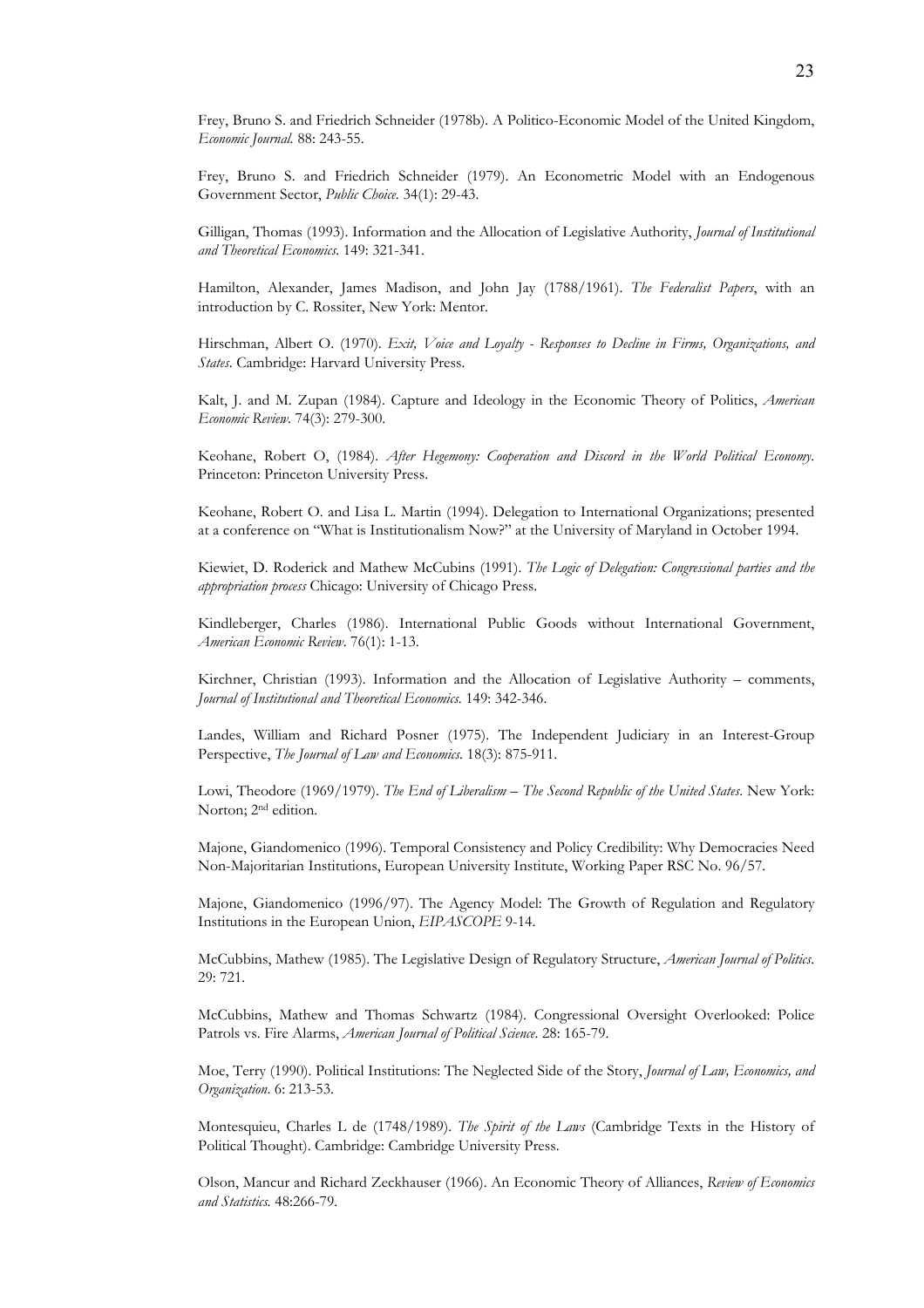Frey, Bruno S. and Friedrich Schneider (1978b). A Politico-Economic Model of the United Kingdom, *Economic Journal.* 88: 243-55.

Frey, Bruno S. and Friedrich Schneider (1979). An Econometric Model with an Endogenous Government Sector, *Public Choice.* 34(1): 29-43.

Gilligan, Thomas (1993). Information and the Allocation of Legislative Authority, *Journal of Institutional and Theoretical Economics.* 149: 321-341.

Hamilton, Alexander, James Madison, and John Jay (1788/1961). *The Federalist Papers*, with an introduction by C. Rossiter, New York: Mentor.

Hirschman, Albert O. (1970). *Exit, Voice and Loyalty - Responses to Decline in Firms, Organizations, and States*. Cambridge: Harvard University Press.

Kalt, J. and M. Zupan (1984). Capture and Ideology in the Economic Theory of Politics, *American Economic Review.* 74(3): 279-300.

Keohane, Robert O, (1984). *After Hegemony: Cooperation and Discord in the World Political Economy*. Princeton: Princeton University Press.

Keohane, Robert O. and Lisa L. Martin (1994). Delegation to International Organizations; presented at a conference on "What is Institutionalism Now?" at the University of Maryland in October 1994.

Kiewiet, D. Roderick and Mathew McCubins (1991). *The Logic of Delegation: Congressional parties and the appropriation process* Chicago: University of Chicago Press.

Kindleberger, Charles (1986). International Public Goods without International Government, *American Economic Review*. 76(1): 1-13.

Kirchner, Christian (1993). Information and the Allocation of Legislative Authority – comments, *Journal of Institutional and Theoretical Economics.* 149: 342-346.

Landes, William and Richard Posner (1975). The Independent Judiciary in an Interest-Group Perspective, *The Journal of Law and Economics.* 18(3): 875-911.

Lowi, Theodore (1969/1979). *The End of Liberalism – The Second Republic of the United States*. New York: Norton; 2nd edition.

Majone, Giandomenico (1996). Temporal Consistency and Policy Credibility: Why Democracies Need Non-Majoritarian Institutions, European University Institute, Working Paper RSC No. 96/57.

Majone, Giandomenico (1996/97). The Agency Model: The Growth of Regulation and Regulatory Institutions in the European Union, *EIPASCOPE* 9-14.

McCubbins, Mathew (1985). The Legislative Design of Regulatory Structure, *American Journal of Politics*. 29: 721.

McCubbins, Mathew and Thomas Schwartz (1984). Congressional Oversight Overlooked: Police Patrols vs. Fire Alarms, *American Journal of Political Science*. 28: 165-79.

Moe, Terry (1990). Political Institutions: The Neglected Side of the Story, *Journal of Law, Economics, and Organization*. 6: 213-53.

Montesquieu, Charles L de (1748/1989). *The Spirit of the Laws* (Cambridge Texts in the History of Political Thought). Cambridge: Cambridge University Press.

Olson, Mancur and Richard Zeckhauser (1966). An Economic Theory of Alliances, *Review of Economics and Statistics.* 48:266-79.